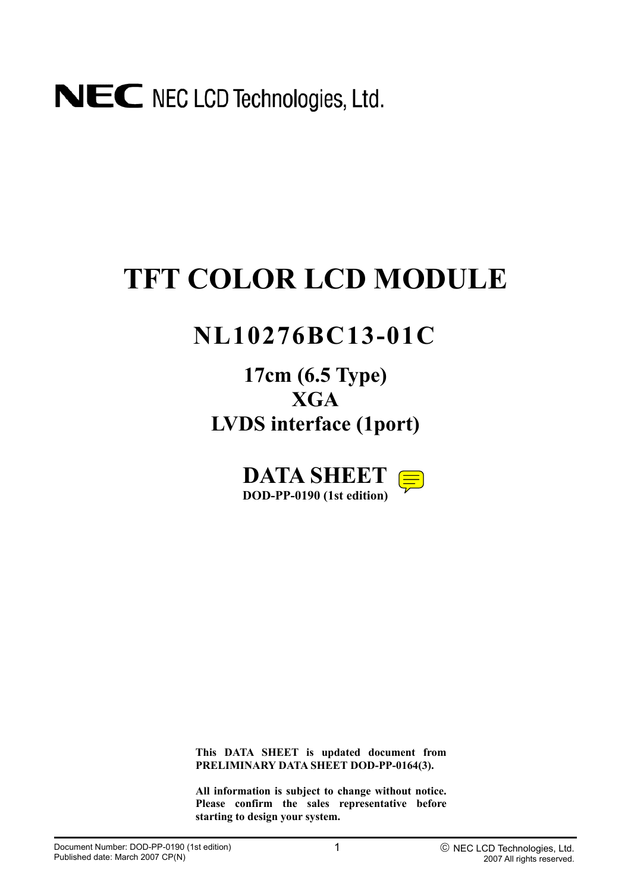## **TFT COLOR LCD MODULE**

## **NL10276BC13-01C**

**17cm (6.5 Type) XGA LVDS interface (1port)**

> **DATA SHEET DOD-PP-0190 (1st edition)**

**This DATA SHEET is updated document from PRELIMINARY DATA SHEET DOD-PP-0164(3).** 

**All information is subject to change without notice. Please confirm the sales representative before starting to design your system.**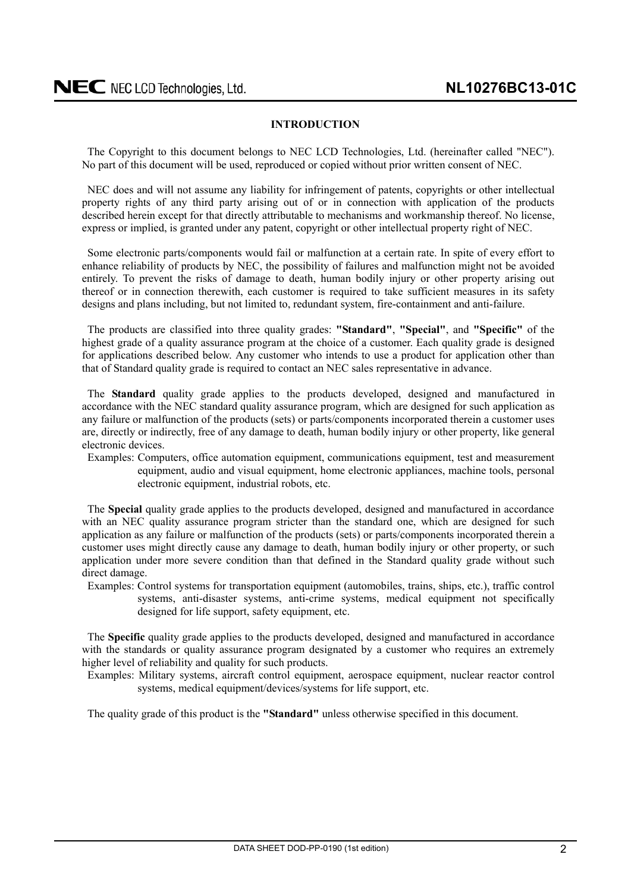#### **INTRODUCTION**

<span id="page-1-0"></span>The Copyright to this document belongs to NEC LCD Technologies, Ltd. (hereinafter called "NEC"). No part of this document will be used, reproduced or copied without prior written consent of NEC.

NEC does and will not assume any liability for infringement of patents, copyrights or other intellectual property rights of any third party arising out of or in connection with application of the products described herein except for that directly attributable to mechanisms and workmanship thereof. No license, express or implied, is granted under any patent, copyright or other intellectual property right of NEC.

Some electronic parts/components would fail or malfunction at a certain rate. In spite of every effort to enhance reliability of products by NEC, the possibility of failures and malfunction might not be avoided entirely. To prevent the risks of damage to death, human bodily injury or other property arising out thereof or in connection therewith, each customer is required to take sufficient measures in its safety designs and plans including, but not limited to, redundant system, fire-containment and anti-failure.

The products are classified into three quality grades: **"Standard"**, **"Special"**, and **"Specific"** of the highest grade of a quality assurance program at the choice of a customer. Each quality grade is designed for applications described below. Any customer who intends to use a product for application other than that of Standard quality grade is required to contact an NEC sales representative in advance.

The **Standard** quality grade applies to the products developed, designed and manufactured in accordance with the NEC standard quality assurance program, which are designed for such application as any failure or malfunction of the products (sets) or parts/components incorporated therein a customer uses are, directly or indirectly, free of any damage to death, human bodily injury or other property, like general electronic devices.

Examples: Computers, office automation equipment, communications equipment, test and measurement equipment, audio and visual equipment, home electronic appliances, machine tools, personal electronic equipment, industrial robots, etc.

The **Special** quality grade applies to the products developed, designed and manufactured in accordance with an NEC quality assurance program stricter than the standard one, which are designed for such application as any failure or malfunction of the products (sets) or parts/components incorporated therein a customer uses might directly cause any damage to death, human bodily injury or other property, or such application under more severe condition than that defined in the Standard quality grade without such direct damage.

Examples: Control systems for transportation equipment (automobiles, trains, ships, etc.), traffic control systems, anti-disaster systems, anti-crime systems, medical equipment not specifically designed for life support, safety equipment, etc.

The **Specific** quality grade applies to the products developed, designed and manufactured in accordance with the standards or quality assurance program designated by a customer who requires an extremely higher level of reliability and quality for such products.

Examples: Military systems, aircraft control equipment, aerospace equipment, nuclear reactor control systems, medical equipment/devices/systems for life support, etc.

The quality grade of this product is the **"Standard"** unless otherwise specified in this document.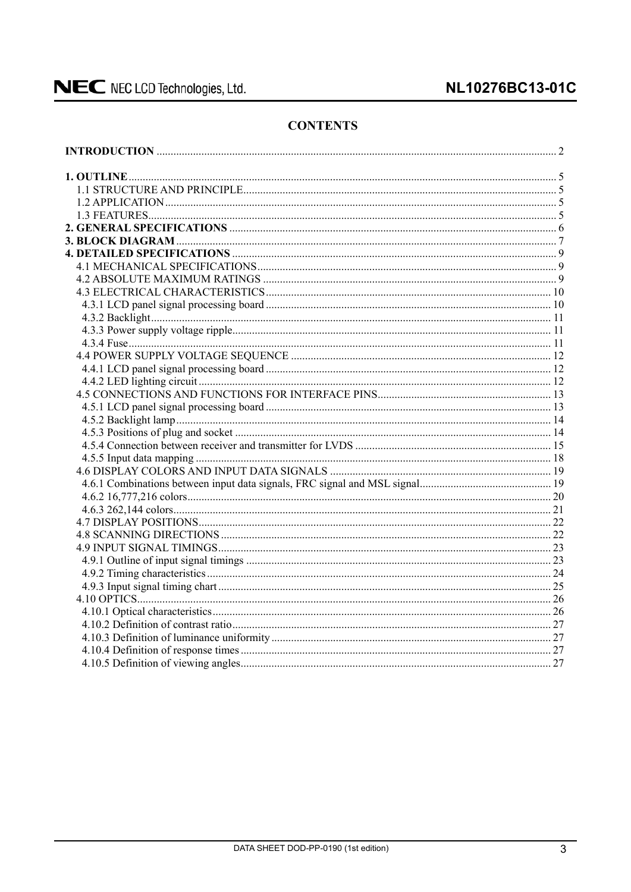### NL10276BC13-01C

### **CONTENTS**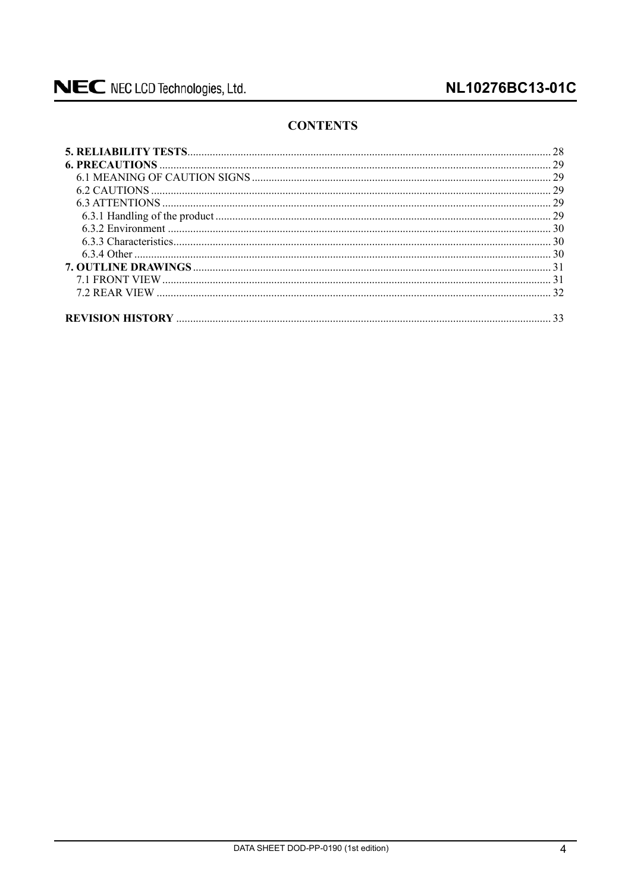### **CONTENTS**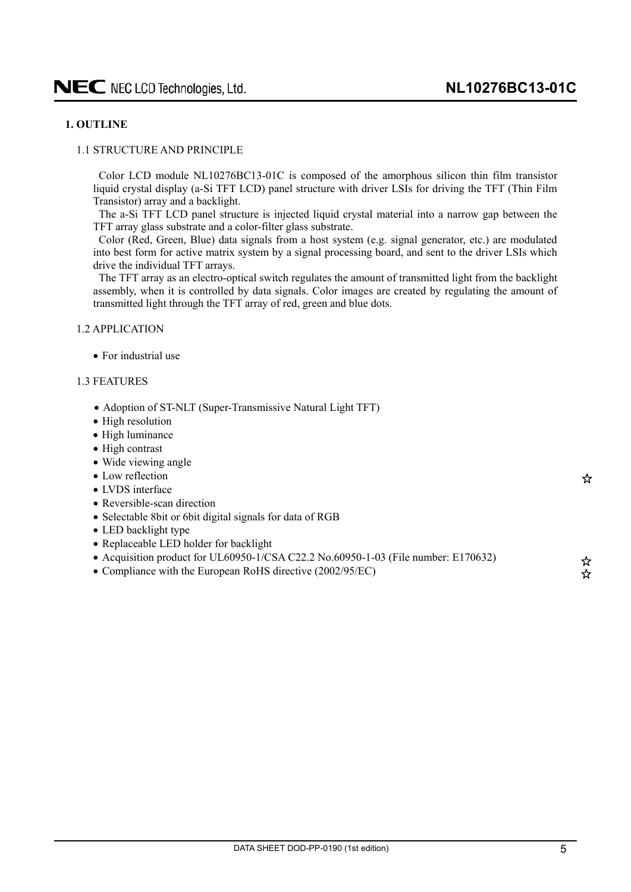#### <span id="page-4-0"></span>**1. OUTLINE**

#### 1.1 STRUCTURE AND PRINCIPLE

Color LCD module NL10276BC13-01C is composed of the amorphous silicon thin film transistor liquid crystal display (a-Si TFT LCD) panel structure with driver LSIs for driving the TFT (Thin Film Transistor) array and a backlight.

The a-Si TFT LCD panel structure is injected liquid crystal material into a narrow gap between the TFT array glass substrate and a color-filter glass substrate.

Color (Red, Green, Blue) data signals from a host system (e.g. signal generator, etc.) are modulated into best form for active matrix system by a signal processing board, and sent to the driver LSIs which drive the individual TFT arrays.

The TFT array as an electro-optical switch regulates the amount of transmitted light from the backlight assembly, when it is controlled by data signals. Color images are created by regulating the amount of transmitted light through the TFT array of red, green and blue dots.

#### 1.2 APPLICATION

 $\bullet$  For industrial use

#### 1.3 FEATURES

- Adoption of ST-NLT (Super-Transmissive Natural Light TFT)
- High resolution
- $\bullet$  High luminance
- $\bullet$  High contrast
- Wide viewing angle
- Low reflection
- LVDS interface
- $\bullet$  Reversible-scan direction
- Selectable 8bit or 6bit digital signals for data of RGB
- LED backlight type
- Replaceable LED holder for backlight
- Acquisition product for UL60950-1/CSA C22.2 No.60950-1-03 (File number: E170632)
- Compliance with the European RoHS directive (2002/95/EC)

☆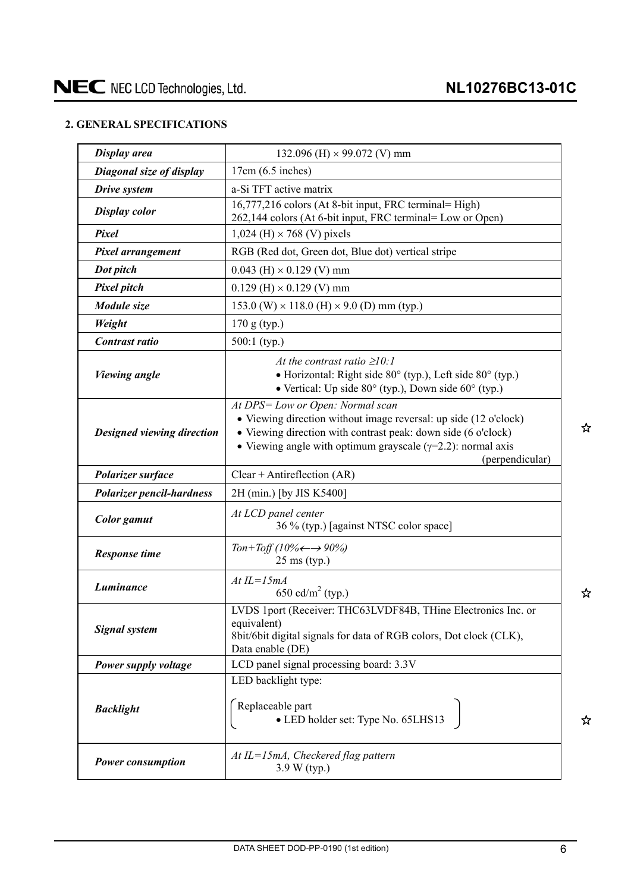### <span id="page-5-0"></span>**2. GENERAL SPECIFICATIONS**

| Display area                      | 132.096 (H) $\times$ 99.072 (V) mm                                                                                                                                                                                                                              |  |  |  |
|-----------------------------------|-----------------------------------------------------------------------------------------------------------------------------------------------------------------------------------------------------------------------------------------------------------------|--|--|--|
| Diagonal size of display          | $17cm(6.5$ inches)                                                                                                                                                                                                                                              |  |  |  |
| Drive system                      | a-Si TFT active matrix                                                                                                                                                                                                                                          |  |  |  |
| <b>Display color</b>              | 16,777,216 colors (At 8-bit input, FRC terminal= High)<br>262,144 colors (At 6-bit input, FRC terminal= Low or Open)                                                                                                                                            |  |  |  |
| Pixel                             | $1,024$ (H) $\times$ 768 (V) pixels                                                                                                                                                                                                                             |  |  |  |
| Pixel arrangement                 | RGB (Red dot, Green dot, Blue dot) vertical stripe                                                                                                                                                                                                              |  |  |  |
| Dot pitch                         | $0.043$ (H) $\times$ 0.129 (V) mm                                                                                                                                                                                                                               |  |  |  |
| <b>Pixel pitch</b>                | $0.129$ (H) $\times$ 0.129 (V) mm                                                                                                                                                                                                                               |  |  |  |
| Module size                       | 153.0 (W) $\times$ 118.0 (H) $\times$ 9.0 (D) mm (typ.)                                                                                                                                                                                                         |  |  |  |
| Weight                            | 170 g (typ.)                                                                                                                                                                                                                                                    |  |  |  |
| <b>Contrast ratio</b>             | 500:1 (typ.)                                                                                                                                                                                                                                                    |  |  |  |
| <b>Viewing angle</b>              | At the contrast ratio $\geq 10$ :<br>• Horizontal: Right side 80° (typ.), Left side 80° (typ.)<br>• Vertical: Up side 80° (typ.), Down side 60° (typ.)                                                                                                          |  |  |  |
| <b>Designed viewing direction</b> | At DPS= Low or Open: Normal scan<br>• Viewing direction without image reversal: up side (12 o'clock)<br>• Viewing direction with contrast peak: down side (6 o'clock)<br>• Viewing angle with optimum grayscale $(\gamma=2.2)$ : normal axis<br>(perpendicular) |  |  |  |
| Polarizer surface                 | $Clear + Antireflection (AR)$                                                                                                                                                                                                                                   |  |  |  |
| <b>Polarizer pencil-hardness</b>  | 2H (min.) [by JIS K5400]                                                                                                                                                                                                                                        |  |  |  |
|                                   |                                                                                                                                                                                                                                                                 |  |  |  |
| <b>Color</b> gamut                | At LCD panel center<br>36 % (typ.) [against NTSC color space]                                                                                                                                                                                                   |  |  |  |
| <b>Response time</b>              | Ton+Toff (10% $\leftarrow \rightarrow 90\%$ )<br>$25$ ms (typ.)                                                                                                                                                                                                 |  |  |  |
| Luminance                         | At $IL=15mA$<br>650 cd/m <sup>2</sup> (typ.)                                                                                                                                                                                                                    |  |  |  |
| <b>Signal system</b>              | LVDS 1port (Receiver: THC63LVDF84B, THine Electronics Inc. or<br>equivalent)<br>8bit/6bit digital signals for data of RGB colors, Dot clock (CLK),<br>Data enable (DE)                                                                                          |  |  |  |
| Power supply voltage              | LCD panel signal processing board: 3.3V                                                                                                                                                                                                                         |  |  |  |
| <b>Backlight</b>                  | LED backlight type:<br>Replaceable part<br>• LED holder set: Type No. 65LHS13                                                                                                                                                                                   |  |  |  |

☆

☆

 $x^2$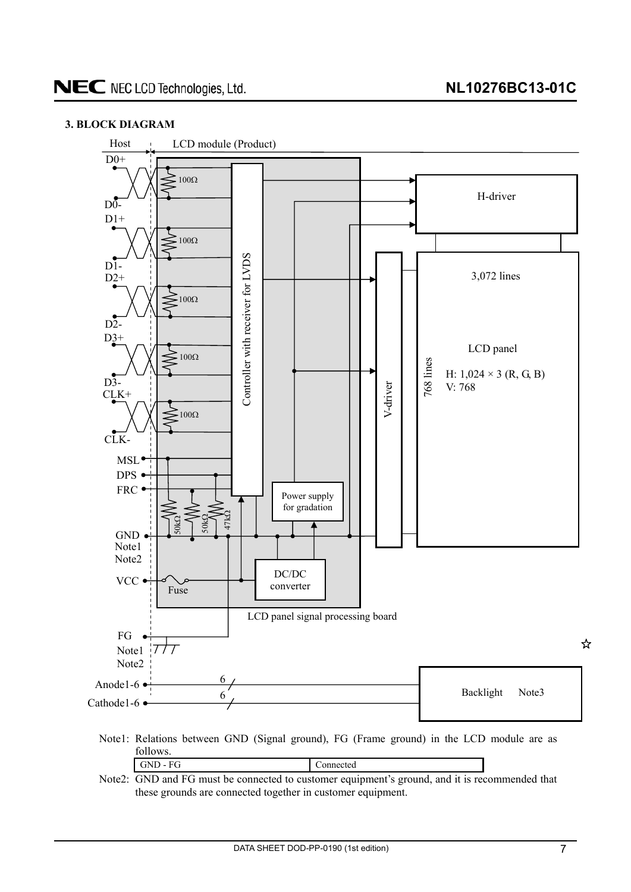#### <span id="page-6-0"></span>**3. BLOCK DIAGRAM**



Note2: GND and FG must be connected to customer equipment's ground, and it is recommended that these grounds are connected together in customer equipment.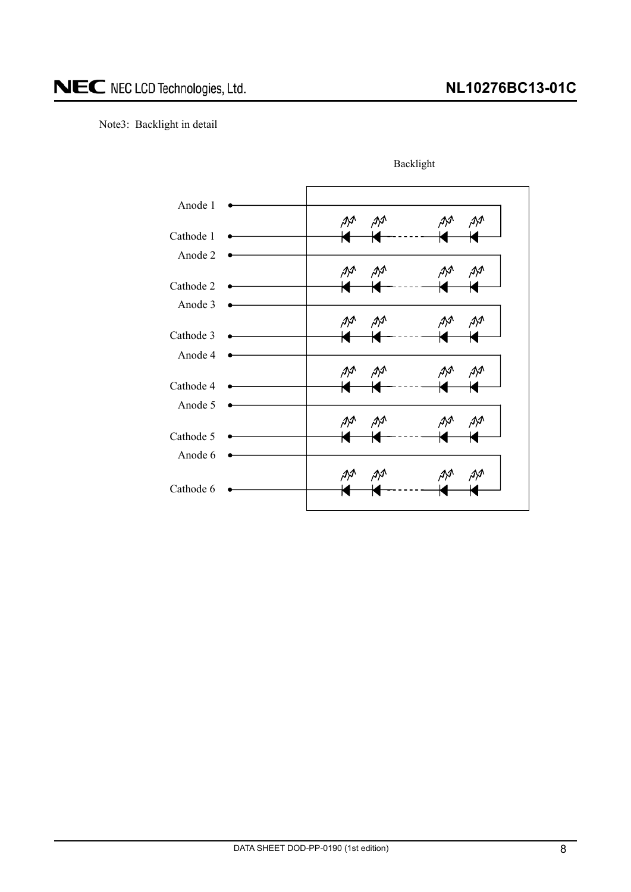#### Note3: Backlight in detail



Backlight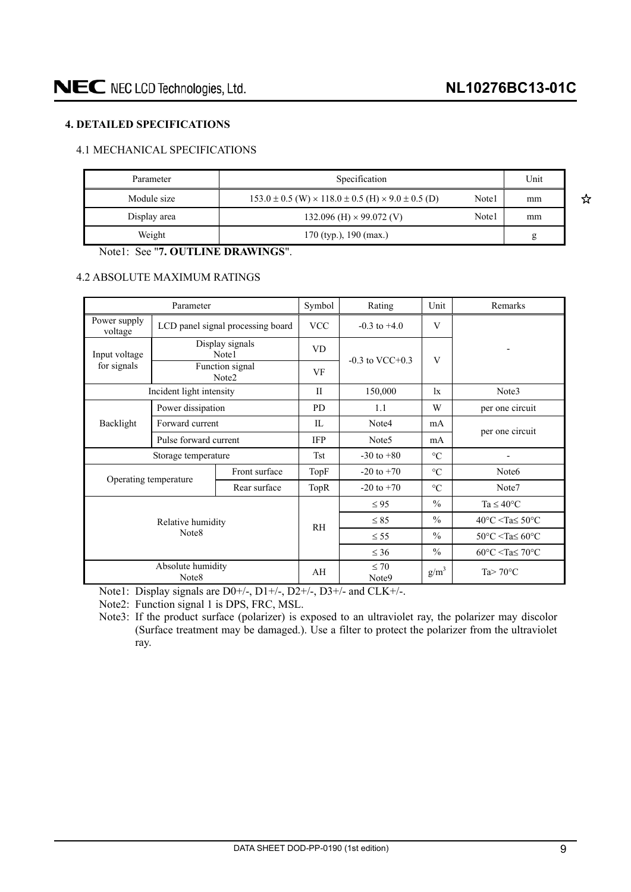☆

#### <span id="page-8-0"></span>**4. DETAILED SPECIFICATIONS**

#### 4.1 MECHANICAL SPECIFICATIONS

| Parameter    | Specification                                                               |       | Unit |
|--------------|-----------------------------------------------------------------------------|-------|------|
| Module size  | $153.0 \pm 0.5$ (W) $\times$ 118.0 $\pm$ 0.5 (H) $\times$ 9.0 $\pm$ 0.5 (D) | Note1 | mm   |
| Display area | 132.096 (H) $\times$ 99.072 (V)                                             | Note1 | mm   |
| Weight       | $170$ (typ.), $190$ (max.)                                                  |       | g    |

Note1: See "**7. OUTLINE DRAWINGS**".

#### 4.2 ABSOLUTE MAXIMUM RATINGS

| Parameter                  |                                   |                                      | Symbol     | Rating                         | Unit                                               | Remarks                                            |  |
|----------------------------|-----------------------------------|--------------------------------------|------------|--------------------------------|----------------------------------------------------|----------------------------------------------------|--|
| Power supply<br>voltage    | LCD panel signal processing board |                                      | <b>VCC</b> | $-0.3$ to $+4.0$               | V                                                  |                                                    |  |
| Input voltage              |                                   | Display signals<br>Note1             | <b>VD</b>  |                                | V                                                  |                                                    |  |
| for signals                |                                   | Function signal<br>Note <sub>2</sub> | VF         | $-0.3$ to VCC $+0.3$           |                                                    |                                                    |  |
|                            | Incident light intensity          |                                      | П          | 150,000                        | $\mathbf{1}$ x                                     | Note3                                              |  |
|                            | Power dissipation                 |                                      | <b>PD</b>  | 1.1                            | W                                                  | per one circuit                                    |  |
| Backlight                  |                                   | Forward current                      |            | Note4                          | mA                                                 |                                                    |  |
|                            | Pulse forward current             |                                      | <b>IFP</b> | Note <sub>5</sub>              | mA                                                 | per one circuit                                    |  |
|                            | Storage temperature               |                                      | <b>Tst</b> | $-30$ to $+80$                 | $\rm ^{\circ}C$                                    |                                                    |  |
| Operating temperature      |                                   | Front surface                        | TopF       | $-20$ to $+70$                 | $\rm ^{\circ}C$                                    | Note <sub>6</sub>                                  |  |
|                            |                                   | Rear surface                         | TopR       | $-20$ to $+70$                 | $\rm ^{\circ}C$                                    | Note7                                              |  |
|                            |                                   |                                      |            | $\leq 95$                      | $\frac{0}{0}$                                      | Ta $\leq 40^{\circ}$ C                             |  |
| Relative humidity<br>Note8 |                                   |                                      | <b>RH</b>  | $\leq 85$                      | $\frac{0}{0}$                                      | $40^{\circ}$ C <ta<math>\leq 50^{\circ}C</ta<math> |  |
|                            |                                   |                                      |            | $\leq$ 55                      | $\frac{0}{0}$                                      | $50^{\circ}$ C <ta<math>\leq 60^{\circ}C</ta<math> |  |
|                            |                                   |                                      | $\leq 36$  | $\frac{0}{0}$                  | $60^{\circ}$ C <ta<math>\leq 70^{\circ}C</ta<math> |                                                    |  |
|                            | Absolute humidity<br>Note8        |                                      | AH         | $\leq 70$<br>Note <sub>9</sub> | $g/m^3$                                            | Ta $> 70^{\circ}$ C                                |  |

Note1: Display signals are D0+/-, D1+/-, D2+/-, D3+/- and CLK+/-.

Note2: Function signal 1 is DPS, FRC, MSL.

Note3: If the product surface (polarizer) is exposed to an ultraviolet ray, the polarizer may discolor (Surface treatment may be damaged.). Use a filter to protect the polarizer from the ultraviolet ray.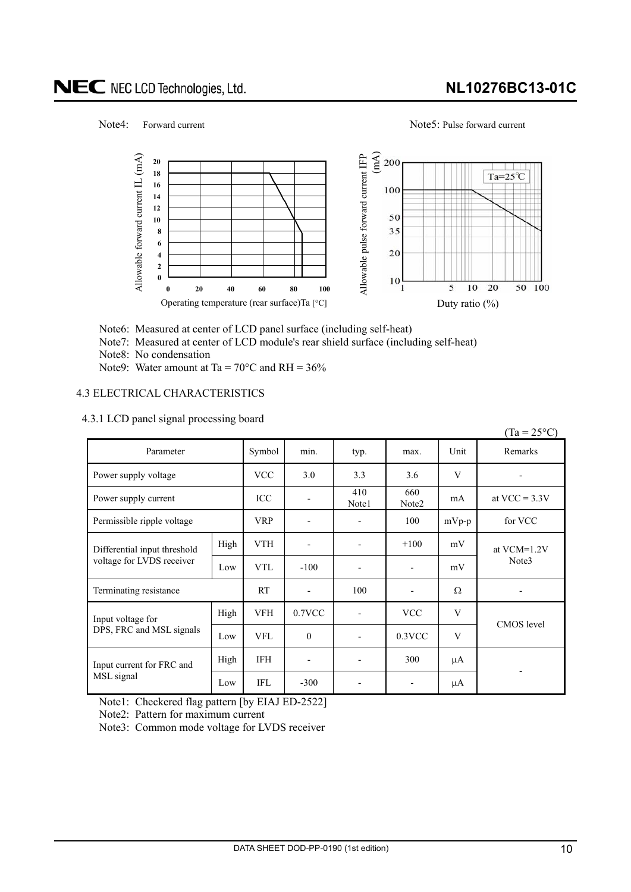### **NL10276BC13-01C**

 $(T_{12} = 250C)$ 

#### <span id="page-9-0"></span>Note4: Forward current Note5: Pulse forward current



Note6: Measured at center of LCD panel surface (including self-heat)

Note7: Measured at center of LCD module's rear shield surface (including self-heat)

Note8: No condensation

Note9: Water amount at Ta =  $70^{\circ}$ C and RH =  $36\%$ 

#### 4.3 ELECTRICAL CHARACTERISTICS

#### 4.3.1 LCD panel signal processing board

|                              |      |            |                          |                              |                          |         | $(1a - 23)$ C   |
|------------------------------|------|------------|--------------------------|------------------------------|--------------------------|---------|-----------------|
| Parameter                    |      | Symbol     | min.                     | typ.                         | max.                     | Unit    | Remarks         |
| Power supply voltage         |      | <b>VCC</b> | 3.0                      | 3.3                          | 3.6                      | V       |                 |
| Power supply current         |      | ICC        | ٠                        | 410<br>Note1                 | 660<br>Note2             | mA      | at VCC = $3.3V$ |
| Permissible ripple voltage   |      | <b>VRP</b> | $\overline{\phantom{a}}$ | $\overline{\phantom{a}}$     | 100                      | $mVp-p$ | for VCC         |
| Differential input threshold | High | <b>VTH</b> | -                        | $\overline{\phantom{a}}$     | $+100$                   | mV      | at VCM=1.2V     |
| voltage for LVDS receiver    | Low  | <b>VTL</b> | $-100$                   | $\overline{\phantom{a}}$     | $\blacksquare$           | mV      | Note3           |
| Terminating resistance       |      | <b>RT</b>  | $\overline{\phantom{m}}$ | 100                          | $\overline{\phantom{a}}$ | Ω       |                 |
| Input voltage for            | High | <b>VFH</b> | $0.7$ VCC                | $\qquad \qquad \blacksquare$ | <b>VCC</b>               | V       | CMOS level      |
| DPS, FRC and MSL signals     | Low  | <b>VFL</b> | $\theta$                 | $\overline{\phantom{a}}$     | 0.3VCC                   | V       |                 |
| Input current for FRC and    | High | <b>IFH</b> | -                        | $\overline{\phantom{a}}$     | 300                      | μA      |                 |
| MSL signal                   | Low  | <b>IFL</b> | $-300$                   | $\overline{\phantom{a}}$     |                          | μA      |                 |

Note1: Checkered flag pattern [by EIAJ ED-2522]

Note2: Pattern for maximum current

Note3: Common mode voltage for LVDS receiver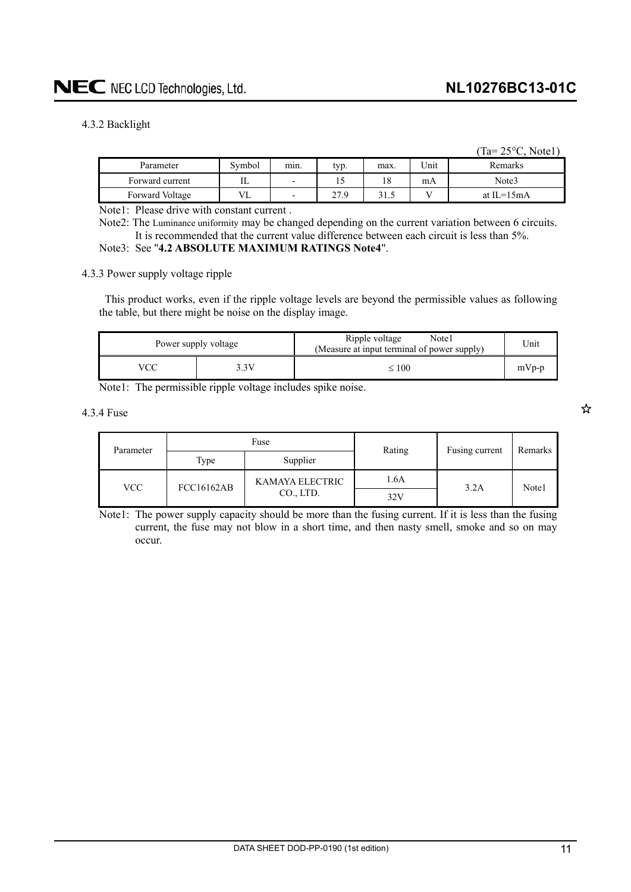#### <span id="page-10-0"></span>4.3.2 Backlight

|                 |        |      |      |      |      | $(Ta=25^{\circ}C, Note1)$ |
|-----------------|--------|------|------|------|------|---------------------------|
| Parameter       | Symbol | min. | typ. | max  | Unit | Remarks                   |
| Forward current | IL     | -    | 12   | 18   | mA   | Note3                     |
| Forward Voltage | VL     | -    | 27.9 | 31.5 |      | at IL= $15mA$             |

Note1: Please drive with constant current .

Note2: The Luminance uniformity may be changed depending on the current variation between 6 circuits. It is recommended that the current value difference between each circuit is less than 5%.

### Note3: See "**4.2 ABSOLUTE MAXIMUM RATINGS Note4**".

4.3.3 Power supply voltage ripple

This product works, even if the ripple voltage levels are beyond the permissible values as following the table, but there might be noise on the display image.

| Power supply voltage |      | Ripple voltage<br>Note1<br>(Measure at input terminal of power supply) | Unit    |
|----------------------|------|------------------------------------------------------------------------|---------|
|                      | 3.3V | $\leq 100$                                                             | $mVp-p$ |

Note1: The permissible ripple voltage includes spike noise.

4.3.4 Fuse

| Parameter | Fuse              |                 | Rating | Fusing current | Remarks |
|-----------|-------------------|-----------------|--------|----------------|---------|
|           | Type              | Supplier        |        |                |         |
| VCC-      | <b>FCC16162AB</b> | KAMAYA ELECTRIC | 1.6A   | 3.2A           | Note1   |
|           |                   | CO., LTD.       | 32V    |                |         |

Note1: The power supply capacity should be more than the fusing current. If it is less than the fusing current, the fuse may not blow in a short time, and then nasty smell, smoke and so on may occur.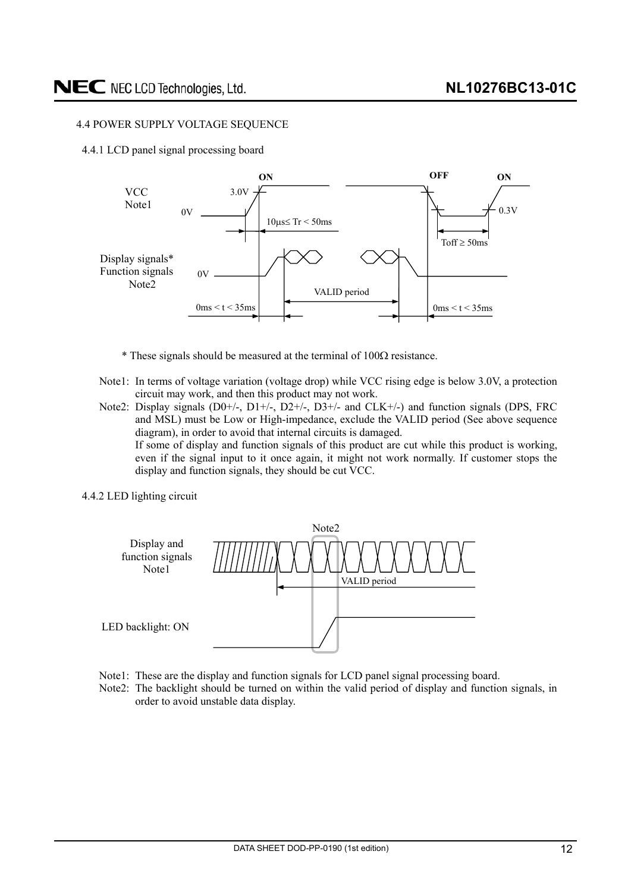#### <span id="page-11-0"></span>4.4 POWER SUPPLY VOLTAGE SEQUENCE

4.4.1 LCD panel signal processing board



- $*$  These signals should be measured at the terminal of  $100\Omega$  resistance.
- Note1: In terms of voltage variation (voltage drop) while VCC rising edge is below 3.0V, a protection circuit may work, and then this product may not work.
- Note2: Display signals  $(D0+/-, D1+/-, D2+/-, D3+/-$  and  $CLK+/-$ ) and function signals (DPS, FRC and MSL) must be Low or High-impedance, exclude the VALID period (See above sequence diagram), in order to avoid that internal circuits is damaged. If some of display and function signals of this product are cut while this product is working, even if the signal input to it once again, it might not work normally. If customer stops the display and function signals, they should be cut VCC.
- 4.4.2 LED lighting circuit



- Note1: These are the display and function signals for LCD panel signal processing board.
- Note2: The backlight should be turned on within the valid period of display and function signals, in order to avoid unstable data display.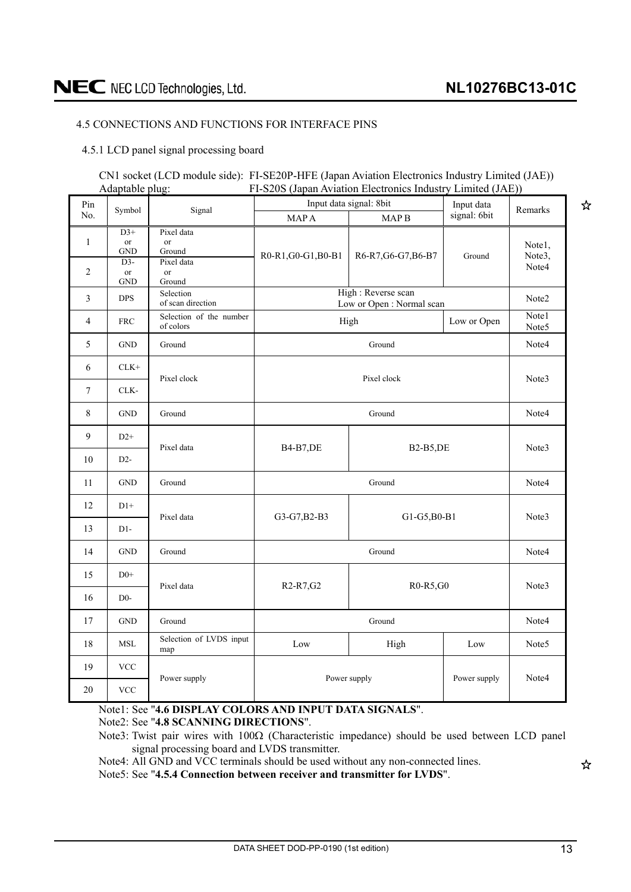☆

#### <span id="page-12-0"></span>4.5 CONNECTIONS AND FUNCTIONS FOR INTERFACE PINS

4.5.1 LCD panel signal processing board

|                 | CN1 socket (LCD module side): FI-SE20P-HFE (Japan Aviation Electronics Industry Limited (JAE)) |
|-----------------|------------------------------------------------------------------------------------------------|
| Adaptable plug: | FI-S20S (Japan Aviation Electronics Industry Limited (JAE))                                    |

| Pin            | Symbol                             | Signal                                   |                                                 | Input data signal: 8bit                        |              | Remarks           |
|----------------|------------------------------------|------------------------------------------|-------------------------------------------------|------------------------------------------------|--------------|-------------------|
| No.            |                                    |                                          | <b>MAPA</b>                                     | MAP <sub>B</sub>                               | signal: 6bit |                   |
| $\mathbf{1}$   | $D3+$<br>or<br><b>GND</b><br>$D3-$ | Pixel data<br>or<br>Ground<br>Pixel data | R0-R1, G0-G1, B0-B1                             | R6-R7, G6-G7, B6-B7                            | Ground       | Notel,<br>Note3,  |
| 2              | or<br>$\operatorname{GND}$         | or<br>Ground                             |                                                 |                                                |              | Note4             |
| 3              | <b>DPS</b>                         | Selection<br>of scan direction           |                                                 | High: Reverse scan<br>Low or Open: Normal scan |              | Note <sub>2</sub> |
| $\overline{4}$ | <b>FRC</b>                         | Selection of the number<br>of colors     |                                                 | High                                           | Low or Open  | Note1<br>Note5    |
| 5              | <b>GND</b>                         | Ground                                   |                                                 | Ground                                         |              | Note4             |
| 6              | $CLK+$                             | Pixel clock                              |                                                 | Pixel clock                                    |              | Note3             |
| 7              | CLK-                               |                                          |                                                 |                                                |              |                   |
| 8              | <b>GND</b>                         | Ground                                   |                                                 | Ground                                         |              | Note4             |
| 9              | $D2+$                              | Pixel data                               | <b>B4-B7,DE</b>                                 | <b>B2-B5,DE</b>                                |              | Note3             |
| 10             | $D2-$                              |                                          |                                                 |                                                |              |                   |
| 11             | <b>GND</b>                         | Ground                                   |                                                 | Ground                                         |              | Note4             |
| 12             | $D1+$                              | Pixel data                               | G3-G7, B2-B3                                    | G1-G5, B0-B1                                   |              | Note3             |
| 13             | $D1-$                              |                                          |                                                 |                                                |              |                   |
| 14             | <b>GND</b>                         | Ground                                   |                                                 | Ground                                         |              | Note4             |
| 15             | $D0+$                              | Pixel data                               | R <sub>2</sub> -R <sub>7</sub> , G <sub>2</sub> | R0-R5,G0                                       |              | Note3             |
| 16             | $D0-$                              |                                          |                                                 |                                                |              |                   |
| 17             | $\operatorname{GND}$               | Ground                                   |                                                 | Ground                                         |              | Note4             |
| 18             | MSL                                | Selection of LVDS input<br>map           | Low                                             | High                                           | Low          | Note <sub>5</sub> |
| 19             | <b>VCC</b>                         | Power supply                             |                                                 |                                                | Power supply | Note4             |
| $20\,$         | <b>VCC</b>                         |                                          | Power supply                                    |                                                |              |                   |

Note1: See "**4.6 DISPLAY COLORS AND INPUT DATA SIGNALS**".

Note2: See "**4.8 SCANNING DIRECTIONS**".

Note4: All GND and VCC terminals should be used without any non-connected lines.

Note5: See "**4.5.4 Connection between receiver and transmitter for LVDS**".

☆

Note3: Twist pair wires with  $100\Omega$  (Characteristic impedance) should be used between LCD panel signal processing board and LVDS transmitter.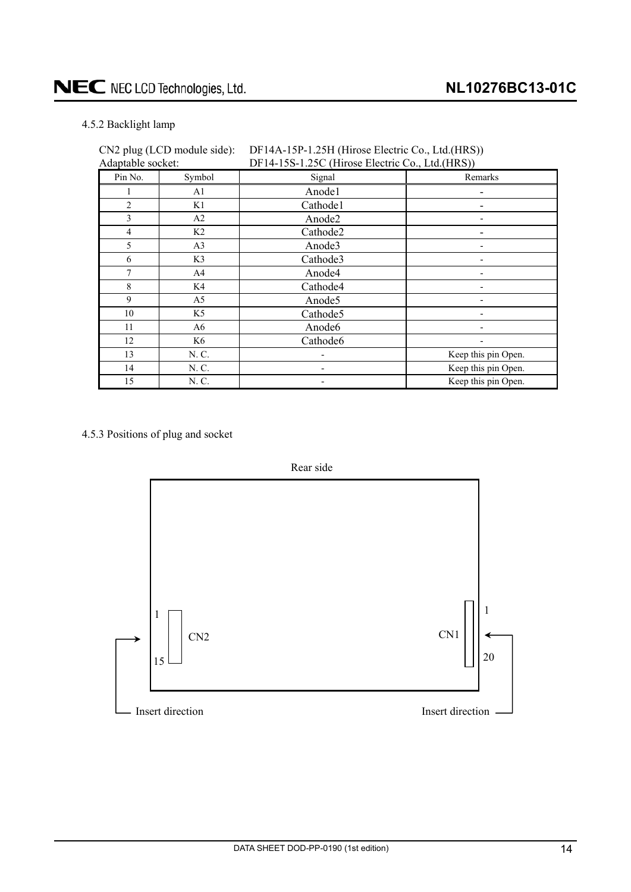#### <span id="page-13-0"></span>4.5.2 Backlight lamp

| Adaptable socket: |                | DF14-15S-1.25C (Hirose Electric Co., Ltd.(HRS)) |                     |  |
|-------------------|----------------|-------------------------------------------------|---------------------|--|
| Pin No.           | Symbol         | Signal                                          | Remarks             |  |
|                   | A1             | Anode1                                          |                     |  |
| $\overline{2}$    | K1             | Cathode1                                        |                     |  |
| 3                 | A2             | Anode2                                          |                     |  |
| $\overline{4}$    | K <sub>2</sub> | Cathode2                                        |                     |  |
| 5                 | A <sub>3</sub> | Anode3                                          |                     |  |
| 6                 | K3             | Cathode3                                        |                     |  |
| 7                 | A4             | Anode4                                          |                     |  |
| 8                 | K4             | Cathode4                                        |                     |  |
| 9                 | A <sub>5</sub> | Anode5                                          |                     |  |
| 10                | K5             | Cathode5                                        |                     |  |
| 11                | A6             | Anode <sub>6</sub>                              |                     |  |
| 12                | K6             | Cathode6                                        |                     |  |
| 13                | N. C.          |                                                 | Keep this pin Open. |  |
| 14                | N. C.          |                                                 | Keep this pin Open. |  |
| 15                | N. C.          |                                                 | Keep this pin Open. |  |

## CN2 plug (LCD module side): DF14A-15P-1.25H (Hirose Electric Co., Ltd.(HRS))

#### 4.5.3 Positions of plug and socket

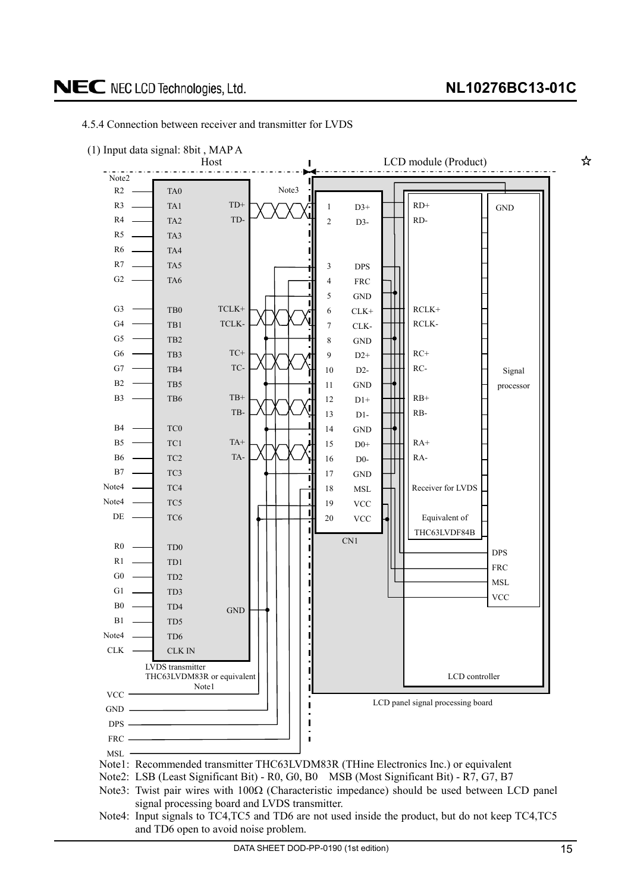

#### <span id="page-14-0"></span>4.5.4 Connection between receiver and transmitter for LVDS

DATA SHEET DOD-PP-0190 (1st edition) 15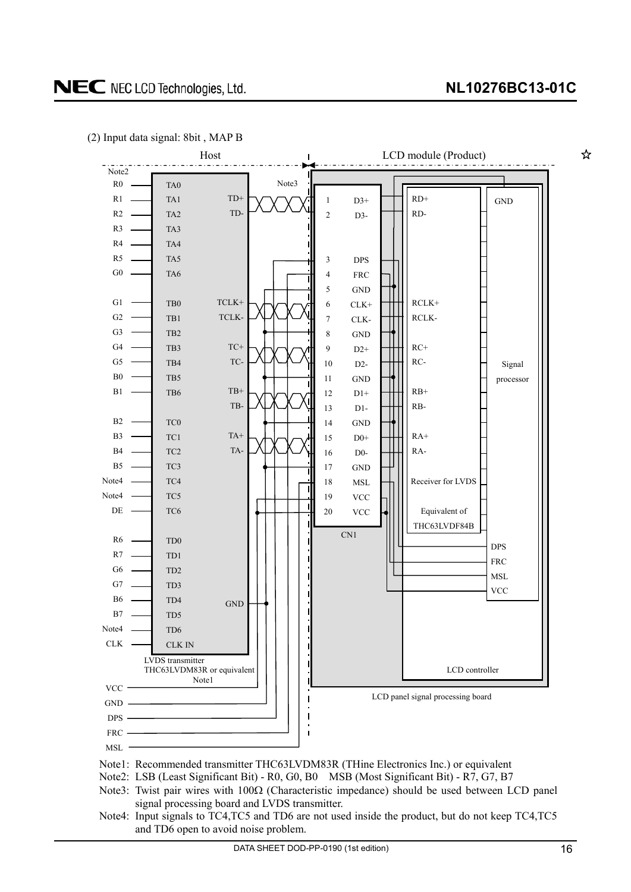☆



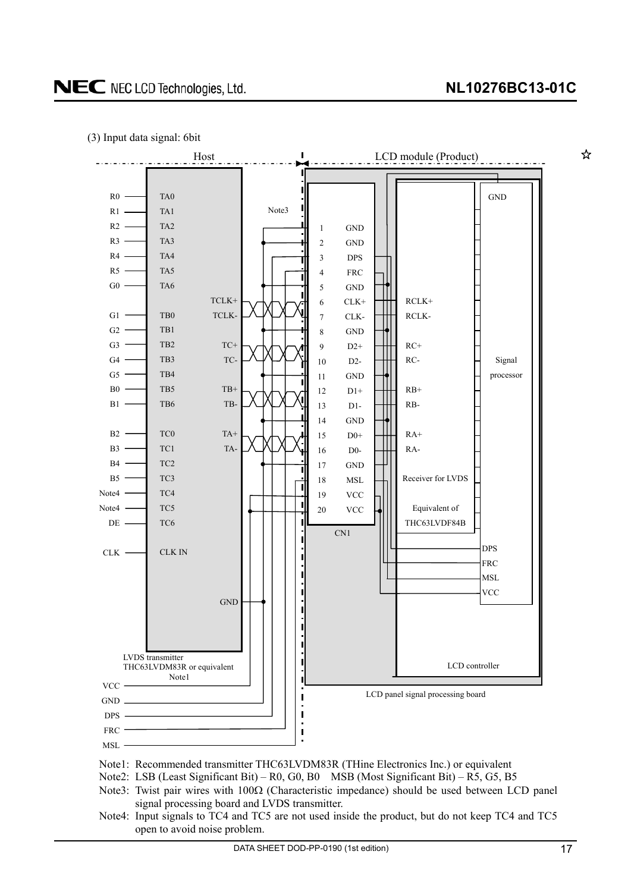☆





Note1: Recommended transmitter THC63LVDM83R (THine Electronics Inc.) or equivalent

- Note2: LSB (Least Significant Bit) R0, G0, B0 MSB (Most Significant Bit) R5, G5, B5
- Note3: Twist pair wires with  $100\Omega$  (Characteristic impedance) should be used between LCD panel signal processing board and LVDS transmitter.
- Note4: Input signals to TC4 and TC5 are not used inside the product, but do not keep TC4 and TC5 open to avoid noise problem.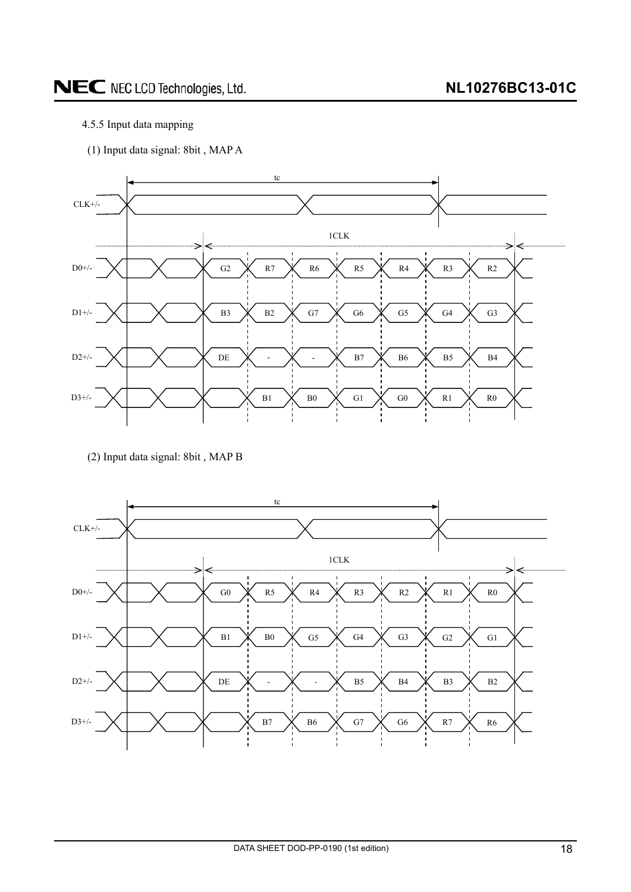#### <span id="page-17-0"></span>4.5.5 Input data mapping

(1) Input data signal: 8bit , MAP A



<sup>(2)</sup> Input data signal: 8bit , MAP B

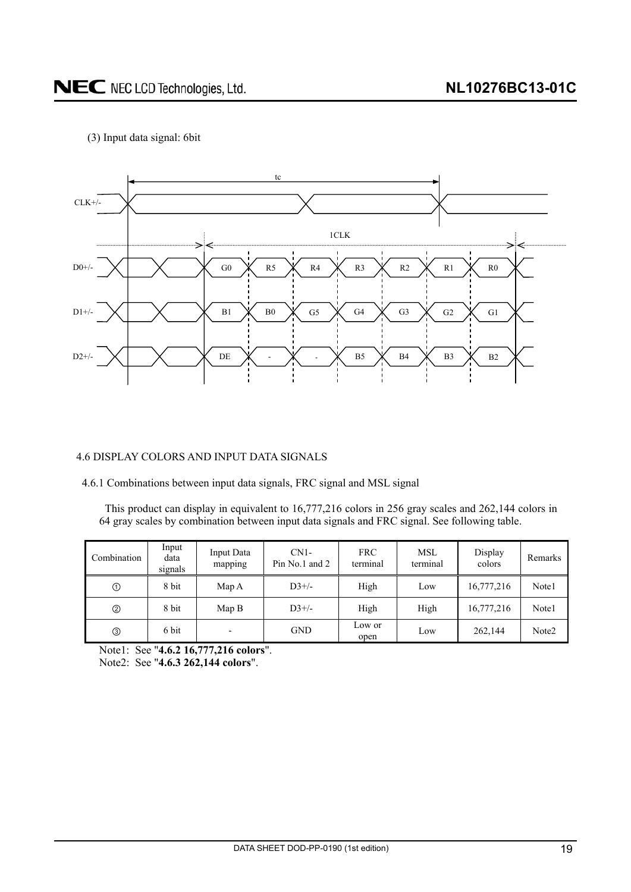<span id="page-18-0"></span>(3) Input data signal: 6bit



#### 4.6 DISPLAY COLORS AND INPUT DATA SIGNALS

4.6.1 Combinations between input data signals, FRC signal and MSL signal

This product can display in equivalent to 16,777,216 colors in 256 gray scales and 262,144 colors in 64 gray scales by combination between input data signals and FRC signal. See following table.

| Combination  | Input<br>data<br>signals | Input Data<br>mapping | $CN1-$<br>Pin No.1 and 2 | <b>FRC</b><br>terminal | MSL<br>terminal | Display<br>colors | Remarks           |
|--------------|--------------------------|-----------------------|--------------------------|------------------------|-----------------|-------------------|-------------------|
| $^\circledR$ | 8 bit                    | Map A                 | $D3+/$                   | High                   | Low             | 16,777,216        | Note1             |
| ➁            | 8 bit                    | Map B                 | $D3+/$                   | High                   | High            | 16,777,216        | Note1             |
|              | 6 bit                    | -                     | GND                      | Low or<br>open         | Low             | 262,144           | Note <sub>2</sub> |

Note1: See "**4.6.2 16,777,216 colors**". Note2: See "**4.6.3 262,144 colors**".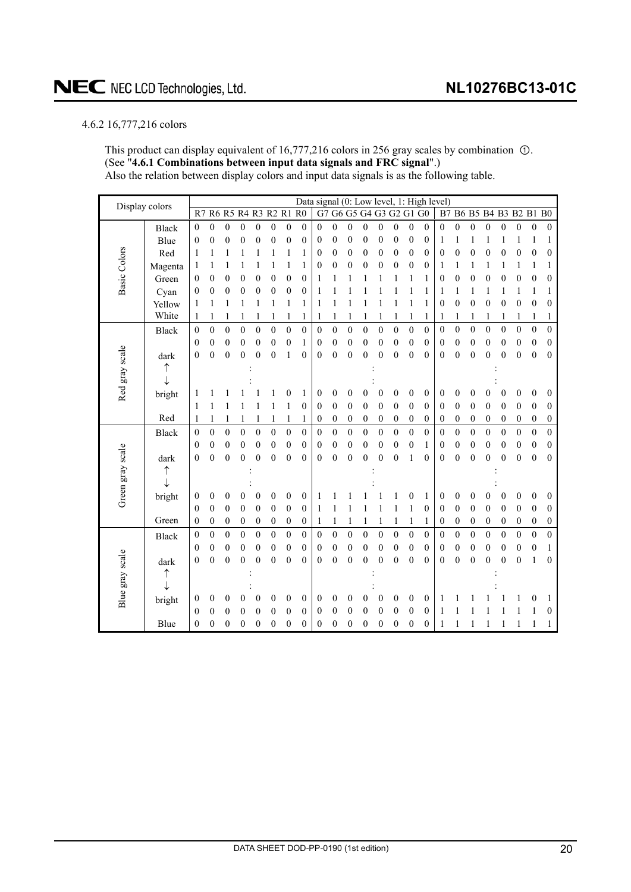#### <span id="page-19-0"></span>4.6.2 16,777,216 colors

This product can display equivalent of  $16,777,216$  colors in 256 gray scales by combination  $\odot$ . (See "**4.6.1 Combinations between input data signals and FRC signal**".) Also the relation between display colors and input data signals is as the following table.

| Display colors      |              |                  |                                                       |                  |                  |                  |                  |                         |                  |                  |                  |                  |                  |                  |                  |                  |                  | Data signal (0: Low level, 1: High level) |                  |                  |                  |                  |                  |                  |                  |
|---------------------|--------------|------------------|-------------------------------------------------------|------------------|------------------|------------------|------------------|-------------------------|------------------|------------------|------------------|------------------|------------------|------------------|------------------|------------------|------------------|-------------------------------------------|------------------|------------------|------------------|------------------|------------------|------------------|------------------|
|                     |              |                  | R6 R5 R4 R3 R2 R1 R0<br>G7 G6 G5 G4 G3 G2 G1 G0<br>R7 |                  |                  |                  |                  | B7 B6 B5 B4 B3 B2 B1 B0 |                  |                  |                  |                  |                  |                  |                  |                  |                  |                                           |                  |                  |                  |                  |                  |                  |                  |
|                     | <b>Black</b> | $\mathbf{0}$     | $\mathbf{0}$                                          | $\overline{0}$   | $\boldsymbol{0}$ | $\mathbf{0}$     | $\boldsymbol{0}$ | $\boldsymbol{0}$        | $\mathbf{0}$     | $\overline{0}$   | $\boldsymbol{0}$ | $\mathbf{0}$     | $\boldsymbol{0}$ | $\boldsymbol{0}$ | $\mathbf{0}$     | $\boldsymbol{0}$ | $\mathbf{0}$     | $\overline{0}$                            | $\boldsymbol{0}$ | $\boldsymbol{0}$ | $\boldsymbol{0}$ | $\boldsymbol{0}$ | $\boldsymbol{0}$ | $\boldsymbol{0}$ | $\boldsymbol{0}$ |
| <b>Basic Colors</b> | Blue         | $\boldsymbol{0}$ | $\boldsymbol{0}$                                      | 0                | $\boldsymbol{0}$ | $\boldsymbol{0}$ | 0                | $\boldsymbol{0}$        | $\boldsymbol{0}$ | 0                | $\boldsymbol{0}$ | $\boldsymbol{0}$ | $\boldsymbol{0}$ | $\boldsymbol{0}$ | 0                | $\boldsymbol{0}$ | $\boldsymbol{0}$ | 1                                         | 1                |                  | 1                |                  | 1                | 1                | 1                |
|                     | Red          | 1                | 1                                                     |                  |                  |                  |                  | 1                       | 1                | 0                | 0                | $\boldsymbol{0}$ | $\boldsymbol{0}$ | $\boldsymbol{0}$ | 0                | $\boldsymbol{0}$ | $\boldsymbol{0}$ | 0                                         | $\boldsymbol{0}$ | $\boldsymbol{0}$ | $\mathbf{0}$     | 0                | $\boldsymbol{0}$ | $\boldsymbol{0}$ | $\mathbf{0}$     |
|                     | Magenta      | 1                |                                                       |                  | 1                |                  | 1                | 1                       | 1                | 0                | 0                | $\boldsymbol{0}$ | $\boldsymbol{0}$ | 0                | $\boldsymbol{0}$ | 0                | $\overline{0}$   | 1                                         | 1                | 1                | 1                |                  | 1                | 1                | 1                |
|                     | Green        | $\theta$         | 0                                                     | 0                | $\mathbf{0}$     | 0                | $\overline{0}$   | $\boldsymbol{0}$        | $\mathbf{0}$     | 1                | 1                | 1                | 1                |                  | 1                | 1                | 1                | 0                                         | $\boldsymbol{0}$ | 0                | $\overline{0}$   | 0                | $\theta$         | $\boldsymbol{0}$ | 0                |
|                     | Cyan         | $\boldsymbol{0}$ | $\boldsymbol{0}$                                      | 0                | $\boldsymbol{0}$ | 0                | 0                | $\boldsymbol{0}$        | $\boldsymbol{0}$ | 1                |                  |                  |                  |                  |                  |                  | 1                | 1                                         | 1                | 1                | 1                |                  | 1                | 1                | 1                |
|                     | Yellow       | 1                | 1                                                     |                  | 1                |                  | 1                | 1                       | 1                | 1                | 1                | 1                |                  |                  |                  | 1                | 1                | 0                                         | $\boldsymbol{0}$ | $\boldsymbol{0}$ | 0                | 0                | $\boldsymbol{0}$ | $\boldsymbol{0}$ | $\boldsymbol{0}$ |
|                     | White        | 1                |                                                       |                  |                  |                  |                  | 1                       | 1                | 1                | 1                |                  | 1                |                  | 1                | 1                | 1                |                                           | 1                |                  | 1                |                  | 1                | 1                | 1                |
|                     | Black        | $\theta$         | $\mathbf{0}$                                          | $\mathbf{0}$     | $\mathbf{0}$     | $\boldsymbol{0}$ | $\mathbf{0}$     | $\mathbf{0}$            | $\mathbf{0}$     | 0                | $\overline{0}$   | $\mathbf{0}$     | $\mathbf{0}$     | $\mathbf{0}$     | $\mathbf{0}$     | $\theta$         | $\mathbf{0}$     | 0                                         | $\mathbf{0}$     | $\mathbf{0}$     | $\mathbf{0}$     | $\boldsymbol{0}$ | $\mathbf{0}$     | $\boldsymbol{0}$ | $\theta$         |
|                     |              | $\theta$         | $\boldsymbol{0}$                                      | $\boldsymbol{0}$ | $\mathbf{0}$     | $\boldsymbol{0}$ | 0                | $\boldsymbol{0}$        | 1                | 0                | $\boldsymbol{0}$ | $\boldsymbol{0}$ | $\boldsymbol{0}$ | 0                | 0                | 0                | $\boldsymbol{0}$ | 0                                         | $\boldsymbol{0}$ | $\boldsymbol{0}$ | 0                | 0                | $\boldsymbol{0}$ | $\boldsymbol{0}$ | $\mathbf{0}$     |
|                     | dark         | $\mathbf{0}$     | $\mathbf{0}$                                          | $\overline{0}$   | $\mathbf{0}$     | $\mathbf{0}$     | 0                | 1                       | $\mathbf{0}$     | $\overline{0}$   | $\overline{0}$   | $\boldsymbol{0}$ | $\theta$         | $\mathbf{0}$     | $\boldsymbol{0}$ | $\boldsymbol{0}$ | $\overline{0}$   | 0                                         | $\mathbf{0}$     | $\boldsymbol{0}$ | $\theta$         | $\theta$         | $\boldsymbol{0}$ | $\mathbf{0}$     | $\mathbf{0}$     |
|                     |              |                  |                                                       |                  |                  |                  |                  |                         |                  |                  |                  |                  |                  |                  |                  |                  |                  |                                           |                  |                  |                  |                  |                  |                  |                  |
|                     |              |                  |                                                       |                  |                  |                  |                  |                         |                  |                  |                  |                  |                  |                  |                  |                  |                  |                                           |                  |                  |                  |                  |                  |                  |                  |
| Red gray scale      | bright       |                  |                                                       |                  |                  |                  |                  | 0                       | 1                | 0                | 0                | 0                | 0                | 0                | 0                | 0                | $\boldsymbol{0}$ | 0                                         | $\boldsymbol{0}$ | 0                | 0                | 0                | $\theta$         | $\boldsymbol{0}$ | $\mathbf{0}$     |
|                     |              | 1                | 1                                                     |                  |                  |                  | 1                | 1                       | $\boldsymbol{0}$ | 0                | $\mathbf{0}$     | $\boldsymbol{0}$ | $\boldsymbol{0}$ | $\mathbf{0}$     | $\boldsymbol{0}$ | $\boldsymbol{0}$ | $\mathbf{0}$     | 0                                         | $\boldsymbol{0}$ | $\boldsymbol{0}$ | $\boldsymbol{0}$ | $\boldsymbol{0}$ | $\boldsymbol{0}$ | $\boldsymbol{0}$ | $\mathbf{0}$     |
|                     | Red          | 1                | 1                                                     |                  | 1                |                  | 1                | 1                       | 1                | $\boldsymbol{0}$ | $\boldsymbol{0}$ | $\boldsymbol{0}$ | $\boldsymbol{0}$ | 0                | $\boldsymbol{0}$ | $\boldsymbol{0}$ | $\boldsymbol{0}$ | 0                                         | $\boldsymbol{0}$ | $\boldsymbol{0}$ | $\boldsymbol{0}$ | $\boldsymbol{0}$ | $\boldsymbol{0}$ | $\boldsymbol{0}$ | $\boldsymbol{0}$ |
|                     | <b>Black</b> | $\boldsymbol{0}$ | $\boldsymbol{0}$                                      | $\mathbf{0}$     | $\mathbf{0}$     | $\mathbf{0}$     | $\mathbf{0}$     | $\mathbf{0}$            | $\mathbf{0}$     | $\mathbf{0}$     | $\boldsymbol{0}$ | $\boldsymbol{0}$ | $\mathbf{0}$     | $\mathbf{0}$     | $\boldsymbol{0}$ | $\boldsymbol{0}$ | $\mathbf{0}$     | 0                                         | $\mathbf{0}$     | $\mathbf{0}$     | $\theta$         | $\mathbf{0}$     | $\boldsymbol{0}$ | $\boldsymbol{0}$ | $\theta$         |
|                     |              | $\theta$         | $\boldsymbol{0}$                                      | $\boldsymbol{0}$ | $\mathbf{0}$     | $\boldsymbol{0}$ | $\boldsymbol{0}$ | $\boldsymbol{0}$        | $\theta$         | $\boldsymbol{0}$ | $\mathbf{0}$     | $\boldsymbol{0}$ | $\boldsymbol{0}$ | $\mathbf{0}$     | $\boldsymbol{0}$ | $\boldsymbol{0}$ | 1                | 0                                         | $\boldsymbol{0}$ | $\boldsymbol{0}$ | $\boldsymbol{0}$ | 0                | $\boldsymbol{0}$ | $\boldsymbol{0}$ | $\mathbf{0}$     |
|                     | dark         | $\theta$         | $\theta$                                              | $\theta$         | $\theta$         | $\theta$         | $\theta$         | $\theta$                | $\theta$         | $\theta$         | $\theta$         | $\theta$         | $\theta$         | $\theta$         | $\mathbf{0}$     | 1                | $\theta$         | 0                                         | $\mathbf{0}$     | $\overline{0}$   | $\mathbf{0}$     | $\mathbf{0}$     | $\mathbf{0}$     | $\mathbf{0}$     | $\mathbf{0}$     |
|                     | ↑            |                  |                                                       |                  |                  |                  |                  |                         |                  |                  |                  |                  |                  |                  |                  |                  |                  |                                           |                  |                  |                  |                  |                  |                  |                  |
| Green gray scale    |              |                  |                                                       |                  |                  |                  |                  |                         |                  |                  |                  |                  |                  |                  |                  |                  |                  |                                           |                  |                  |                  |                  |                  |                  |                  |
|                     | bright       | $\theta$         | 0                                                     | 0                | 0                | 0                | 0                | $\boldsymbol{0}$        | $\boldsymbol{0}$ | 1                |                  |                  |                  |                  |                  | 0                | 1                | 0                                         | 0                | 0                | 0                | 0                | $\boldsymbol{0}$ | 0                | $\mathbf{0}$     |
|                     |              | $\theta$         | $\boldsymbol{0}$                                      | $\theta$         | $\mathbf{0}$     | $\mathbf{0}$     | $\theta$         | $\boldsymbol{0}$        | $\theta$         | 1                | 1                | 1                | 1                | 1                | 1                | 1                | $\mathbf{0}$     | 0                                         | $\mathbf{0}$     | $\boldsymbol{0}$ | $\overline{0}$   | $\theta$         | $\mathbf{0}$     | $\theta$         | $\mathbf{0}$     |
|                     | Green        | $\boldsymbol{0}$ | $\boldsymbol{0}$                                      | $\boldsymbol{0}$ | $\boldsymbol{0}$ | $\boldsymbol{0}$ | $\boldsymbol{0}$ | $\boldsymbol{0}$        | $\boldsymbol{0}$ | 1                | 1                | 1                | 1                |                  | 1                | 1                | 1                | 0                                         | $\boldsymbol{0}$ | $\boldsymbol{0}$ | $\boldsymbol{0}$ | $\boldsymbol{0}$ | $\boldsymbol{0}$ | $\boldsymbol{0}$ | $\boldsymbol{0}$ |
|                     | <b>Black</b> | $\boldsymbol{0}$ | $\boldsymbol{0}$                                      | $\boldsymbol{0}$ | $\boldsymbol{0}$ | $\boldsymbol{0}$ | $\boldsymbol{0}$ | $\boldsymbol{0}$        | $\boldsymbol{0}$ | $\boldsymbol{0}$ | $\boldsymbol{0}$ | $\boldsymbol{0}$ | $\boldsymbol{0}$ | $\boldsymbol{0}$ | $\boldsymbol{0}$ | $\boldsymbol{0}$ | $\boldsymbol{0}$ | $\boldsymbol{0}$                          | $\boldsymbol{0}$ | $\boldsymbol{0}$ | $\boldsymbol{0}$ | $\boldsymbol{0}$ | $\boldsymbol{0}$ | $\boldsymbol{0}$ | $\boldsymbol{0}$ |
| Blue gray scale     |              | $\theta$         | $\boldsymbol{0}$                                      | $\boldsymbol{0}$ | $\boldsymbol{0}$ | 0                | 0                | $\boldsymbol{0}$        | 0                | $\boldsymbol{0}$ | $\boldsymbol{0}$ | $\boldsymbol{0}$ | $\boldsymbol{0}$ | $\boldsymbol{0}$ | 0                | $\boldsymbol{0}$ | $\boldsymbol{0}$ | 0                                         | $\boldsymbol{0}$ | $\boldsymbol{0}$ | 0                | 0                | $\boldsymbol{0}$ | $\boldsymbol{0}$ | 1                |
|                     | dark         | $\mathbf{0}$     | $\theta$                                              | $\overline{0}$   | $\theta$         | $\mathbf{0}$     | $\theta$         | $\mathbf{0}$            | $\mathbf{0}$     | $\mathbf{0}$     | $\mathbf{0}$     | $\mathbf{0}$     | $\theta$         | $\mathbf{0}$     | 0                | $\mathbf{0}$     | $\theta$         | 0                                         | $\mathbf{0}$     | $\overline{0}$   | $\theta$         | $\mathbf{0}$     | $\mathbf{0}$     | 1                | $\mathbf{0}$     |
|                     | ↑            |                  |                                                       |                  |                  |                  |                  |                         |                  |                  |                  |                  |                  |                  |                  |                  |                  |                                           |                  |                  |                  |                  |                  |                  |                  |
|                     |              |                  |                                                       |                  |                  |                  |                  |                         |                  |                  |                  |                  |                  |                  |                  |                  |                  |                                           |                  |                  |                  |                  |                  |                  |                  |
|                     | bright       | $\boldsymbol{0}$ | 0                                                     | 0                | 0                | 0                | $\overline{0}$   | 0                       | $\boldsymbol{0}$ | 0                | $\boldsymbol{0}$ | $\theta$         | 0                | $\mathbf{0}$     | 0                | 0                | $\mathbf{0}$     | 1                                         |                  |                  |                  |                  |                  | 0                |                  |
|                     |              | $\theta$         | $\theta$                                              | 0                | 0                | 0                | 0                | $\overline{0}$          | 0                | 0                | 0                | 0                | 0                | 0                | 0                | 0                | 0                | 1                                         |                  |                  |                  |                  |                  |                  | 0                |
|                     | Blue         | $\theta$         | $\boldsymbol{0}$                                      | $\overline{0}$   | $\mathbf{0}$     | $\boldsymbol{0}$ | 0                | 0                       | $\boldsymbol{0}$ | 0                | 0                | $\boldsymbol{0}$ | $\boldsymbol{0}$ | $\boldsymbol{0}$ | 0                | 0                | $\boldsymbol{0}$ |                                           |                  |                  |                  |                  |                  |                  | 1                |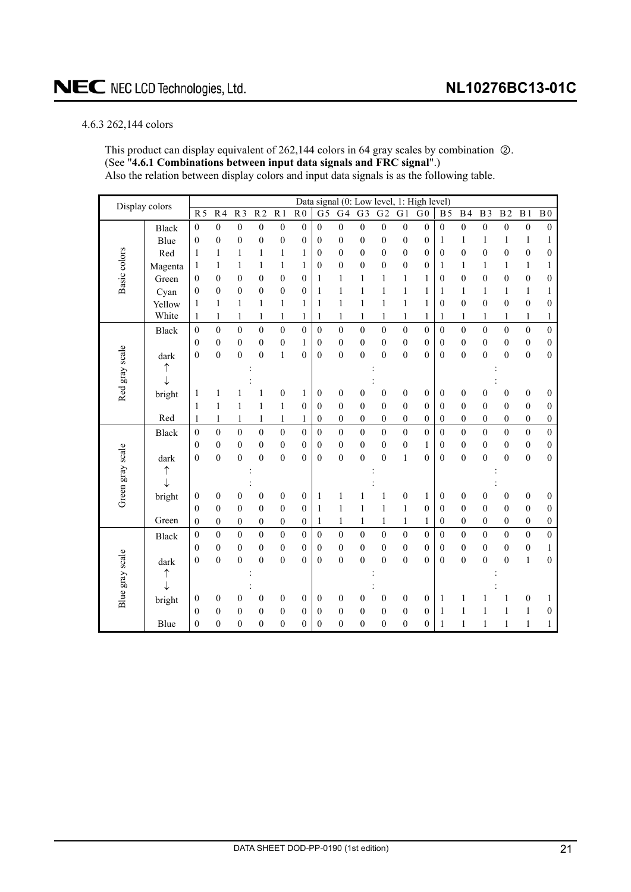#### <span id="page-20-0"></span>4.6.3 262,144 colors

This product can display equivalent of 262,144 colors in 64 gray scales by combination  $\oslash$ . (See "**4.6.1 Combinations between input data signals and FRC signal**".) Also the relation between display colors and input data signals is as the following table.

| Display colors   |              |                  |                  |                  |                  |                  |                  | Data signal (0: Low level, |                  |                  |                  |                  | 1: High level)   |                  |                  |                  |                  |                  |                  |
|------------------|--------------|------------------|------------------|------------------|------------------|------------------|------------------|----------------------------|------------------|------------------|------------------|------------------|------------------|------------------|------------------|------------------|------------------|------------------|------------------|
|                  |              | $\overline{R5}$  | R <sub>4</sub>   | $\overline{R}$   | $\overline{R2}$  | $\overline{R1}$  | R <sub>0</sub>   | $\overline{G}$             | G <sub>4</sub>   | $\overline{G3}$  | $\overline{G2}$  | $\overline{G1}$  | G <sub>0</sub>   | $\overline{B5}$  | $\overline{B4}$  | $\overline{B3}$  | $\overline{B2}$  | B <sub>1</sub>   | $\overline{B}0$  |
|                  | <b>Black</b> | $\boldsymbol{0}$ | $\mathbf{0}$     | $\boldsymbol{0}$ | $\boldsymbol{0}$ | $\boldsymbol{0}$ | $\mathbf{0}$     | $\overline{0}$             | $\mathbf{0}$     | $\boldsymbol{0}$ | $\boldsymbol{0}$ | $\boldsymbol{0}$ | $\mathbf{0}$     | $\mathbf{0}$     | $\overline{0}$   | $\boldsymbol{0}$ | $\boldsymbol{0}$ | $\boldsymbol{0}$ | $\boldsymbol{0}$ |
|                  | Blue         | $\boldsymbol{0}$ | $\boldsymbol{0}$ | $\boldsymbol{0}$ | $\boldsymbol{0}$ | $\boldsymbol{0}$ | $\mathbf{0}$     | $\boldsymbol{0}$           | $\overline{0}$   | $\boldsymbol{0}$ | $\boldsymbol{0}$ | $\boldsymbol{0}$ | $\boldsymbol{0}$ | $\mathbf{1}$     | $\mathbf{1}$     | 1                | $\mathbf{1}$     | 1                | 1                |
| Basic colors     | Red          | 1                | 1                | 1                | 1                | $\mathbf{1}$     | 1                | $\boldsymbol{0}$           | $\mathbf{0}$     | $\mathbf{0}$     | $\boldsymbol{0}$ | $\boldsymbol{0}$ | $\mathbf{0}$     | $\theta$         | $\overline{0}$   | $\mathbf{0}$     | $\boldsymbol{0}$ | $\boldsymbol{0}$ | 0                |
|                  | Magenta      | 1                | 1                | 1                | $\mathbf{1}$     | $\mathbf{1}$     | 1                | $\boldsymbol{0}$           | $\overline{0}$   | $\overline{0}$   | $\mathbf{0}$     | $\boldsymbol{0}$ | $\boldsymbol{0}$ | 1                | 1                | 1                | 1                | 1                | 1                |
|                  | Green        | $\boldsymbol{0}$ | $\overline{0}$   | $\boldsymbol{0}$ | $\boldsymbol{0}$ | $\boldsymbol{0}$ | $\mathbf{0}$     | $\mathbf{1}$               | 1                | 1                | $\mathbf{1}$     | $\mathbf{1}$     | $\mathbf{1}$     | $\boldsymbol{0}$ | $\overline{0}$   | $\overline{0}$   | $\boldsymbol{0}$ | $\boldsymbol{0}$ | $\mathbf{0}$     |
|                  | Cyan         | $\boldsymbol{0}$ | $\overline{0}$   | $\overline{0}$   | $\boldsymbol{0}$ | $\boldsymbol{0}$ | $\mathbf{0}$     | $\mathbf{1}$               | 1                | 1                | $\mathbf{1}$     | $\mathbf{1}$     | 1                | 1                | 1                | 1                | 1                | $\mathbf{1}$     | 1                |
|                  | Yellow       | $\mathbf{1}$     | 1                | 1                | $\mathbf{1}$     | $\mathbf{1}$     | $\mathbf{1}$     | $\mathbf{1}$               | $\mathbf{1}$     | 1                | $\,1$            | $\,1$            | $\mathbf{1}$     | $\boldsymbol{0}$ | $\boldsymbol{0}$ | $\boldsymbol{0}$ | $\boldsymbol{0}$ | $\boldsymbol{0}$ | $\boldsymbol{0}$ |
|                  | White        | 1                | $\mathbf{1}$     | $\mathbf{1}$     | $\mathbf{1}$     | $\mathbf{1}$     | $\mathbf{1}$     | $\mathbf{1}$               | $\mathbf{1}$     | $\mathbf{1}$     | $\mathbf{1}$     | $\,1$            | 1                | 1                | 1                | 1                | 1                | $\mathbf{1}$     | $\mathbf{1}$     |
|                  | <b>Black</b> | $\boldsymbol{0}$ | $\overline{0}$   | $\mathbf{0}$     | $\boldsymbol{0}$ | $\boldsymbol{0}$ | $\mathbf{0}$     | $\mathbf{0}$               | $\mathbf{0}$     | $\mathbf{0}$     | $\boldsymbol{0}$ | $\boldsymbol{0}$ | $\mathbf{0}$     | $\mathbf{0}$     | $\overline{0}$   | $\boldsymbol{0}$ | $\boldsymbol{0}$ | $\boldsymbol{0}$ | $\boldsymbol{0}$ |
|                  |              | $\overline{0}$   | $\mathbf{0}$     | $\boldsymbol{0}$ | $\boldsymbol{0}$ | $\boldsymbol{0}$ | 1                | $\boldsymbol{0}$           | $\mathbf{0}$     | $\overline{0}$   | $\boldsymbol{0}$ | $\boldsymbol{0}$ | $\mathbf{0}$     | $\mathbf{0}$     | $\mathbf{0}$     | $\boldsymbol{0}$ | $\boldsymbol{0}$ | $\boldsymbol{0}$ | $\mathbf{0}$     |
|                  | dark         | $\boldsymbol{0}$ | $\boldsymbol{0}$ | $\boldsymbol{0}$ | $\boldsymbol{0}$ | $\,1$            | $\overline{0}$   | $\mathbf{0}$               | $\overline{0}$   | $\overline{0}$   | $\boldsymbol{0}$ | $\boldsymbol{0}$ | $\overline{0}$   | $\mathbf{0}$     | $\overline{0}$   | $\overline{0}$   | $\boldsymbol{0}$ | $\boldsymbol{0}$ | $\boldsymbol{0}$ |
|                  | ↑            |                  |                  |                  |                  |                  |                  |                            |                  |                  |                  |                  |                  |                  |                  |                  |                  |                  |                  |
| Red gray scale   | $\downarrow$ |                  |                  |                  |                  |                  |                  |                            |                  |                  |                  |                  |                  |                  |                  |                  |                  |                  |                  |
|                  | bright       | 1                | 1                |                  | 1                | $\boldsymbol{0}$ | $\mathbf{1}$     | $\boldsymbol{0}$           | $\boldsymbol{0}$ | $\boldsymbol{0}$ | $\boldsymbol{0}$ | $\boldsymbol{0}$ | $\boldsymbol{0}$ | 0                | $\boldsymbol{0}$ | $\boldsymbol{0}$ | $\boldsymbol{0}$ | $\boldsymbol{0}$ | 0                |
|                  |              | $\mathbf{1}$     | $\mathbf{1}$     | $\mathbf{1}$     | $\mathbf{1}$     | $\mathbf{1}$     | $\mathbf{0}$     | $\mathbf{0}$               | $\mathbf{0}$     | $\mathbf{0}$     | $\boldsymbol{0}$ | $\boldsymbol{0}$ | $\mathbf{0}$     | $\mathbf{0}$     | $\mathbf{0}$     | $\mathbf{0}$     | $\mathbf{0}$     | $\boldsymbol{0}$ | $\boldsymbol{0}$ |
|                  | Red          | $\mathbf{1}$     | 1                | $\mathbf{1}$     | 1                | $\mathbf{1}$     | 1                | $\boldsymbol{0}$           | $\mathbf{0}$     | $\boldsymbol{0}$ | $\boldsymbol{0}$ | $\boldsymbol{0}$ | $\boldsymbol{0}$ | $\boldsymbol{0}$ | $\mathbf{0}$     | $\boldsymbol{0}$ | $\boldsymbol{0}$ | $\boldsymbol{0}$ | $\boldsymbol{0}$ |
|                  | Black        | $\boldsymbol{0}$ | $\mathbf{0}$     | $\overline{0}$   | $\mathbf 0$      | $\overline{0}$   | $\mathbf{0}$     | $\mathbf{0}$               | $\overline{0}$   | $\mathbf{0}$     | $\boldsymbol{0}$ | $\boldsymbol{0}$ | $\mathbf{0}$     | $\boldsymbol{0}$ | $\overline{0}$   | $\mathbf{0}$     | $\overline{0}$   | $\boldsymbol{0}$ | $\mathbf{0}$     |
|                  |              | $\overline{0}$   | $\boldsymbol{0}$ | $\boldsymbol{0}$ | $\boldsymbol{0}$ | $\boldsymbol{0}$ | $\mathbf{0}$     | $\mathbf{0}$               | $\boldsymbol{0}$ | $\boldsymbol{0}$ | $\boldsymbol{0}$ | $\boldsymbol{0}$ | $\mathbf{1}$     | $\boldsymbol{0}$ | $\boldsymbol{0}$ | $\boldsymbol{0}$ | $\boldsymbol{0}$ | $\boldsymbol{0}$ | $\boldsymbol{0}$ |
|                  | dark         | $\overline{0}$   | $\theta$         | $\mathbf{0}$     | $\mathbf{0}$     | $\mathbf{0}$     | $\theta$         | $\mathbf{0}$               | $\theta$         | $\theta$         | $\mathbf{0}$     | $\mathbf{1}$     | $\theta$         | $\mathbf{0}$     | $\overline{0}$   | $\theta$         | $\mathbf{0}$     | $\boldsymbol{0}$ | $\mathbf{0}$     |
| Green gray scale | ↑            |                  |                  |                  |                  |                  |                  |                            |                  |                  |                  |                  |                  |                  |                  |                  |                  |                  |                  |
|                  | ↓            |                  |                  |                  |                  |                  |                  |                            |                  |                  |                  |                  |                  |                  |                  |                  |                  |                  |                  |
|                  | bright       | $\boldsymbol{0}$ | $\boldsymbol{0}$ | $\boldsymbol{0}$ | $\boldsymbol{0}$ | $\boldsymbol{0}$ | $\boldsymbol{0}$ | 1                          | 1                |                  | 1                | $\boldsymbol{0}$ | 1                | 0                | $\boldsymbol{0}$ | 0                | $\boldsymbol{0}$ | $\boldsymbol{0}$ | 0                |
|                  |              | $\boldsymbol{0}$ | $\overline{0}$   | $\boldsymbol{0}$ | $\boldsymbol{0}$ | $\boldsymbol{0}$ | $\overline{0}$   | $\mathbf{1}$               | $\,1$            | $\mathbf{1}$     | $\mathbf{1}$     | $\,1$            | $\boldsymbol{0}$ | $\boldsymbol{0}$ | $\boldsymbol{0}$ | $\boldsymbol{0}$ | $\boldsymbol{0}$ | $\boldsymbol{0}$ | 0                |
|                  | Green        | $\boldsymbol{0}$ | $\boldsymbol{0}$ | $\boldsymbol{0}$ | $\boldsymbol{0}$ | $\boldsymbol{0}$ | $\boldsymbol{0}$ | $\mathbf{1}$               | $\mathbf{1}$     | 1                | $\,1$            | $\mathbf{1}$     | 1                | $\boldsymbol{0}$ | $\boldsymbol{0}$ | $\boldsymbol{0}$ | $\boldsymbol{0}$ | $\boldsymbol{0}$ | $\boldsymbol{0}$ |
|                  | <b>Black</b> | $\boldsymbol{0}$ | $\boldsymbol{0}$ | $\mathbf{0}$     | $\boldsymbol{0}$ | $\boldsymbol{0}$ | $\boldsymbol{0}$ | $\theta$                   | $\overline{0}$   | $\overline{0}$   | $\boldsymbol{0}$ | $\boldsymbol{0}$ | $\boldsymbol{0}$ | $\mathbf{0}$     | $\boldsymbol{0}$ | $\boldsymbol{0}$ | $\boldsymbol{0}$ | $\boldsymbol{0}$ | $\boldsymbol{0}$ |
|                  |              | $\overline{0}$   | $\mathbf{0}$     | $\mathbf{0}$     | $\boldsymbol{0}$ | $\boldsymbol{0}$ | $\mathbf{0}$     | $\mathbf{0}$               | $\mathbf{0}$     | $\overline{0}$   | $\boldsymbol{0}$ | $\boldsymbol{0}$ | $\mathbf{0}$     | $\mathbf{0}$     | $\mathbf{0}$     | $\overline{0}$   | $\boldsymbol{0}$ | $\boldsymbol{0}$ | 1                |
|                  | dark         | $\boldsymbol{0}$ | $\boldsymbol{0}$ | $\overline{0}$   | $\boldsymbol{0}$ | $\boldsymbol{0}$ | $\theta$         | $\mathbf{0}$               | $\boldsymbol{0}$ | $\overline{0}$   | $\boldsymbol{0}$ | $\boldsymbol{0}$ | $\theta$         | $\mathbf{0}$     | $\theta$         | $\overline{0}$   | $\mathbf{0}$     | $\,1$            | $\boldsymbol{0}$ |
|                  | ↑            |                  |                  |                  |                  |                  |                  |                            |                  |                  |                  |                  |                  |                  |                  |                  |                  |                  |                  |
| Blue gray scale  | J            |                  |                  |                  |                  |                  |                  |                            |                  |                  |                  |                  |                  |                  |                  |                  |                  |                  |                  |
|                  | bright       | $\boldsymbol{0}$ | $\boldsymbol{0}$ | $\boldsymbol{0}$ | $\boldsymbol{0}$ | $\boldsymbol{0}$ | $\boldsymbol{0}$ | $\boldsymbol{0}$           | $\boldsymbol{0}$ | $\boldsymbol{0}$ | $\boldsymbol{0}$ | $\boldsymbol{0}$ | $\boldsymbol{0}$ | $\mathbf{1}$     | 1                |                  | 1                | $\boldsymbol{0}$ | 1                |
|                  |              | $\overline{0}$   | $\mathbf{0}$     | $\overline{0}$   | $\boldsymbol{0}$ | $\boldsymbol{0}$ | $\mathbf{0}$     | $\theta$                   | $\mathbf{0}$     | $\overline{0}$   | $\boldsymbol{0}$ | $\boldsymbol{0}$ | $\mathbf{0}$     | 1                | 1                | 1                | 1                | 1                | 0                |
|                  | Blue         | $\boldsymbol{0}$ | $\overline{0}$   | $\mathbf{0}$     | $\boldsymbol{0}$ | $\boldsymbol{0}$ | $\mathbf{0}$     | $\mathbf{0}$               | $\overline{0}$   | $\overline{0}$   | $\boldsymbol{0}$ | $\boldsymbol{0}$ | $\overline{0}$   | 1                | 1                |                  | 1                | 1                | 1                |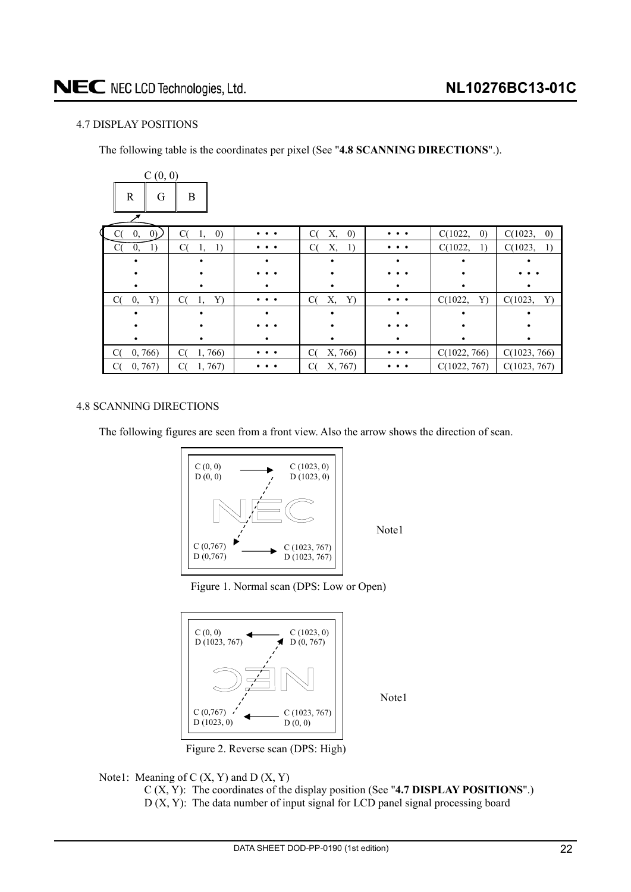#### <span id="page-21-0"></span>4.7 DISPLAY POSITIONS

The following table is the coordinates per pixel (See "**4.8 SCANNING DIRECTIONS**".).

| C(0, 0)                        |                               |                                                     |                               |                                                     |                              |                              |
|--------------------------------|-------------------------------|-----------------------------------------------------|-------------------------------|-----------------------------------------------------|------------------------------|------------------------------|
| $\mathbb{R}$<br>G              | B                             |                                                     |                               |                                                     |                              |                              |
|                                |                               |                                                     |                               |                                                     |                              |                              |
| (0)<br>0,                      | C(<br>$\left( 0\right)$<br>1, | $\bullet\hspace{1.4mm}\bullet\hspace{1.4mm}\bullet$ | $\left( 0\right)$<br>C(<br>Х, | $\bullet\hspace{1.4mm}\bullet\hspace{1.4mm}\bullet$ | C(1022,<br>$\left( 0\right)$ | C(1023,<br>$\left( 0\right)$ |
| $\rm C$<br>$\mathbf{0},$<br>1) | C(<br>1<br>1,                 | $\cdots$                                            | Х,<br>C(<br>-1)               | $\cdots$                                            | C(1022,<br>1)                | C(1023,<br>1)                |
|                                |                               |                                                     |                               |                                                     |                              |                              |
|                                |                               |                                                     |                               |                                                     |                              |                              |
|                                |                               |                                                     |                               |                                                     |                              |                              |
| Y)<br>C(<br>0,                 | C(<br>Y)<br>1,                |                                                     | C(<br>Х,<br>Y)                |                                                     | C(1022,<br>Y)                | C(1023,<br>Y)                |
|                                |                               |                                                     |                               |                                                     |                              |                              |
|                                |                               |                                                     |                               |                                                     |                              |                              |
|                                |                               |                                                     |                               |                                                     |                              |                              |
| C(<br>0, 766                   | C(<br>1,766)                  | $\cdots$                                            | C(<br>X, 766)                 | $\cdots$                                            | C(1022, 766)                 | C(1023, 766)                 |
| 0, 767)                        | 1,767<br>C(                   |                                                     | X, 767)<br>C(                 |                                                     | C(1022, 767)                 | C(1023, 767)                 |

#### 4.8 SCANNING DIRECTIONS

The following figures are seen from a front view. Also the arrow shows the direction of scan.



Note1

Note1

Figure 1. Normal scan (DPS: Low or Open)



Figure 2. Reverse scan (DPS: High)



C (X, Y): The coordinates of the display position (See "**4.7 DISPLAY POSITIONS**".) D (X, Y): The data number of input signal for LCD panel signal processing board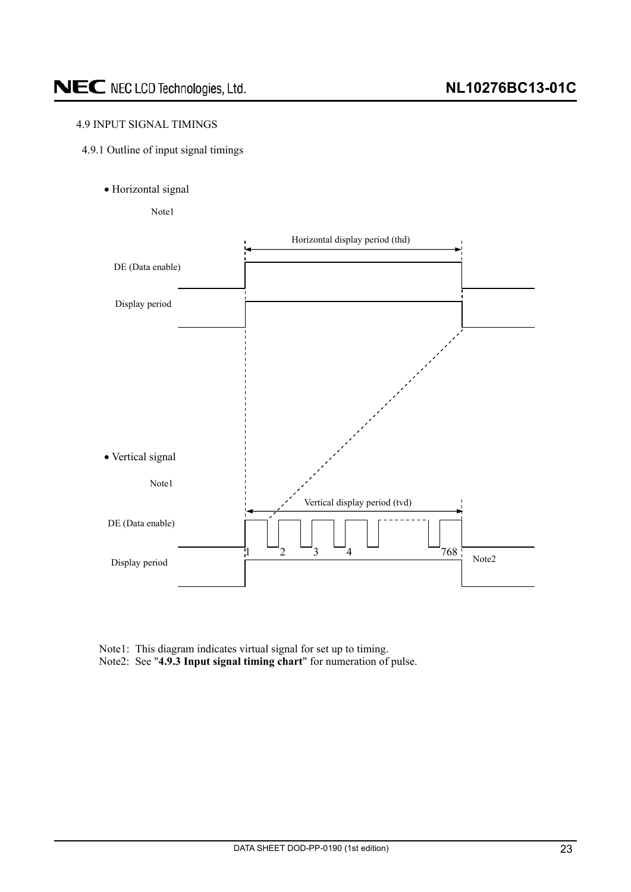#### <span id="page-22-0"></span>4.9 INPUT SIGNAL TIMINGS

- 4.9.1 Outline of input signal timings
	- · Horizontal signal

Note1



Note1: This diagram indicates virtual signal for set up to timing. Note2: See "**4.9.3 Input signal timing chart**" for numeration of pulse.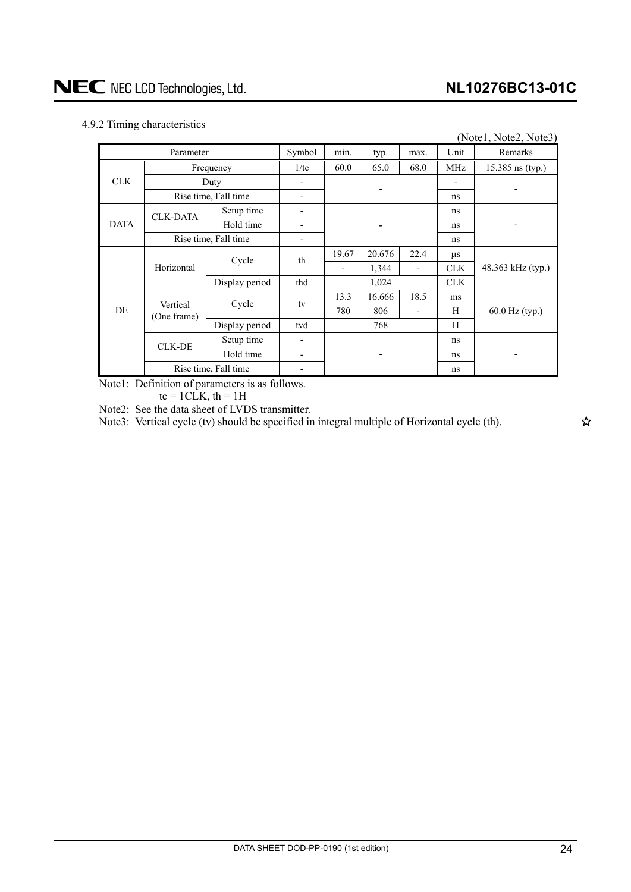#### <span id="page-23-0"></span>4.9.2 Timing characteristics

| ັ           |                         |                      |        |       |        |                          |            | (Note1, Note2, Note3) |
|-------------|-------------------------|----------------------|--------|-------|--------|--------------------------|------------|-----------------------|
|             | Parameter               |                      | Symbol | min.  | typ.   | max.                     | Unit       | Remarks               |
| <b>CLK</b>  |                         | Frequency            | 1/tc   | 60.0  | 65.0   | 68.0                     | MHz        | 15.385 ns (typ.)      |
|             |                         | Duty                 |        |       |        |                          |            |                       |
|             |                         | Rise time, Fall time | -      |       |        |                          | ns         |                       |
|             | <b>CLK-DATA</b>         | Setup time           | -      |       |        |                          | ns         |                       |
| <b>DATA</b> |                         | Hold time            | -      |       |        |                          | ns         |                       |
|             | Rise time, Fall time    |                      | -      |       |        |                          | ns         |                       |
|             |                         | Cycle                | th     | 19.67 | 20.676 | 22.4                     | $\mu$ s    |                       |
|             | Horizontal              |                      |        | -     | 1,344  | $\overline{\phantom{a}}$ | <b>CLK</b> | 48.363 kHz (typ.)     |
|             |                         | Display period       | thd    | 1,024 |        |                          | <b>CLK</b> |                       |
|             |                         | Cycle                | tv     | 13.3  | 16.666 | 18.5                     | ms         |                       |
| DE.         | Vertical<br>(One frame) |                      |        | 780   | 806    | $\overline{\phantom{0}}$ | H          | 60.0 Hz (typ.)        |
|             |                         | Display period       | tvd    |       | 768    |                          | H          |                       |
|             | <b>CLK-DE</b>           | Setup time           | -      |       |        |                          | ns         |                       |
|             |                         | Hold time            | -      |       |        |                          | ns         |                       |
|             | Rise time, Fall time    |                      |        |       |        |                          | ns         |                       |

Note1: Definition of parameters is as follows.

 $tc = 1CLK$ ,  $th = 1H$ 

Note2: See the data sheet of LVDS transmitter.

Note3: Vertical cycle (tv) should be specified in integral multiple of Horizontal cycle (th).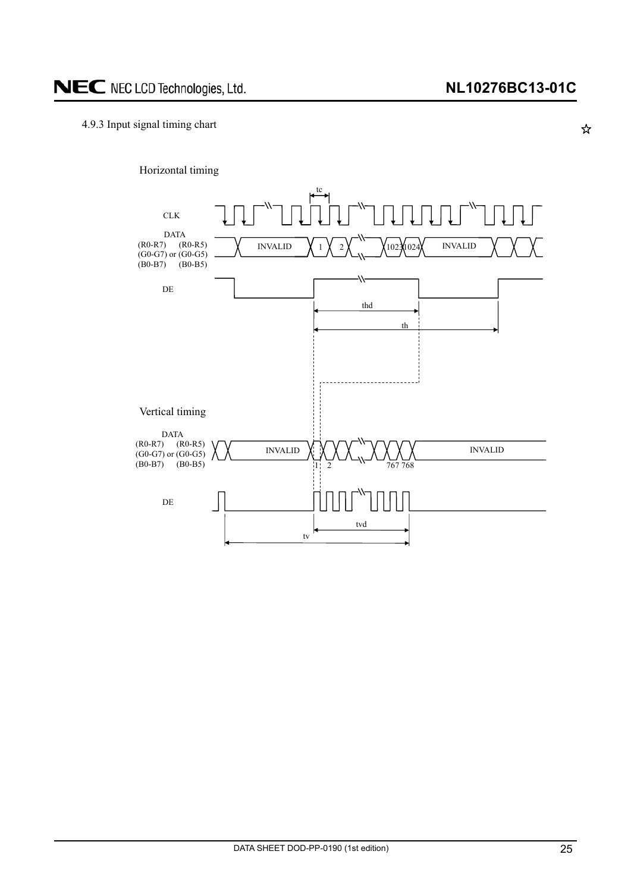☆

#### <span id="page-24-0"></span>4.9.3 Input signal timing chart

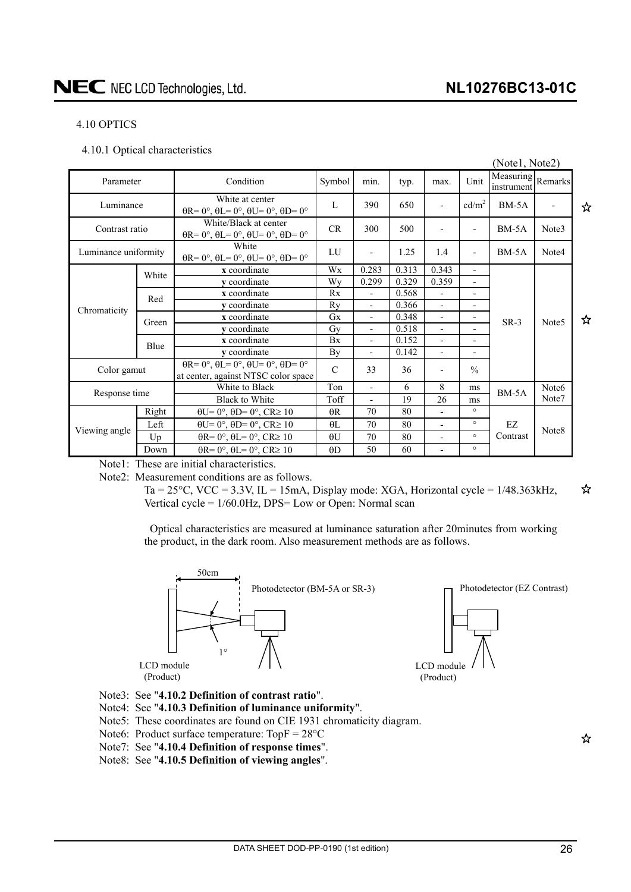### **NL10276BC13-01C**

#### <span id="page-25-0"></span>4.10 OPTICS

4.10.1 Optical characteristics

|                        |       |                                                                                                        |               |                          |       |                          |                              | (Notel, Note2)                  |                   |   |
|------------------------|-------|--------------------------------------------------------------------------------------------------------|---------------|--------------------------|-------|--------------------------|------------------------------|---------------------------------|-------------------|---|
| Condition<br>Parameter |       |                                                                                                        | Symbol        | min.                     | typ.  | max.                     | Unit                         | Measuring Remarks<br>instrument |                   |   |
| Luminance              |       | White at center<br>$\theta$ R= 0°, $\theta$ L= 0°, $\theta$ U= 0°, $\theta$ D= 0°                      | L             | 390                      | 650   |                          | cd/m <sup>2</sup>            | $BM-5A$                         |                   | ☆ |
| Contrast ratio         |       | White/Black at center<br>$\theta$ R= 0°, $\theta$ L= 0°, $\theta$ U= 0°, $\theta$ D= 0°                | <b>CR</b>     | 300                      | 500   | $\overline{a}$           | $\overline{\phantom{0}}$     | $BM-5A$                         | Note3             |   |
| Luminance uniformity   |       | White<br>$\theta$ R= $0^\circ$ , $\theta$ L= $0^\circ$ , $\theta$ U= $0^\circ$ , $\theta$ D= $0^\circ$ | LU            | $\overline{a}$           | 1.25  | 1.4                      | $\overline{a}$               | $BM-5A$<br>Note4                |                   |   |
|                        | White | x coordinate                                                                                           | Wx            | 0.283                    | 0.313 | 0.343                    | $\overline{\phantom{a}}$     |                                 |                   |   |
|                        |       | y coordinate                                                                                           | Wy            | 0.299                    | 0.329 | 0.359                    | $\overline{a}$               |                                 |                   |   |
|                        | Red   | x coordinate                                                                                           | Rx            | $\blacksquare$           | 0.568 | $\blacksquare$           | $\overline{a}$               |                                 |                   |   |
| Chromaticity           |       | v coordinate                                                                                           | Rv            | $\overline{\phantom{0}}$ | 0.366 | $\overline{\phantom{a}}$ | $\qquad \qquad \blacksquare$ |                                 |                   |   |
|                        | Green | x coordinate                                                                                           | <b>Gx</b>     | $\overline{\phantom{0}}$ | 0.348 | $\overline{a}$           | $\overline{\phantom{0}}$     | $SR-3$                          | Note <sub>5</sub> | ☆ |
|                        |       | v coordinate                                                                                           | Gv            | $\overline{\phantom{0}}$ | 0.518 | $\overline{\phantom{a}}$ |                              |                                 |                   |   |
|                        | Blue  | x coordinate                                                                                           | <b>Bx</b>     | $\overline{\phantom{0}}$ | 0.152 | $\overline{\phantom{0}}$ | $\overline{\phantom{0}}$     |                                 |                   |   |
|                        |       | v coordinate                                                                                           | By            | $\overline{\phantom{0}}$ | 0.142 | $\overline{\phantom{a}}$ | Ξ.                           |                                 |                   |   |
| Color gamut            |       | $\theta$ R= 0°, $\theta$ L= 0°, $\theta$ U= 0°, $\theta$ D= 0°<br>at center, against NTSC color space  | $\mathcal{C}$ | 33                       | 36    |                          | $\frac{0}{0}$                |                                 |                   |   |
|                        |       | White to Black                                                                                         | Ton           | $\overline{\phantom{0}}$ | 6     | 8                        | ms                           | $BM-5A$                         | Note <sub>6</sub> |   |
| Response time          |       | <b>Black to White</b>                                                                                  | Toff          | $\overline{\phantom{a}}$ | 19    | 26                       | ms                           |                                 | Note7             |   |
|                        | Right | $\theta U = 0^\circ$ , $\theta D = 0^\circ$ , $CR \ge 10$                                              | $\theta$ R    | 70                       | 80    | $\blacksquare$           | $\circ$                      |                                 |                   |   |
| Viewing angle          | Left  | $\theta U = 0^\circ$ , $\theta D = 0^\circ$ , $CR \ge 10$                                              | $\theta$ L    | 70                       | 80    | $\overline{\phantom{a}}$ | $\circ$                      | EZ                              | Note8             |   |
|                        | Up    | $\theta$ R= 0°, $\theta$ L= 0°, CR≥ 10                                                                 | $\theta$ U    | 70                       | 80    | $\overline{a}$           | $\circ$                      | Contrast                        |                   |   |
|                        | Down  | $\theta$ R= 0°, $\theta$ L= 0°, CR≥ 10                                                                 | AD            | 50                       | 60    |                          | $\circ$                      |                                 |                   |   |

Note1: These are initial characteristics.

Note2: Measurement conditions are as follows.

Ta = 25 $^{\circ}$ C, VCC = 3.3V, IL = 15mA, Display mode: XGA, Horizontal cycle = 1/48.363kHz, Vertical cycle = 1/60.0Hz, DPS= Low or Open: Normal scan

Optical characteristics are measured at luminance saturation after 20minutes from working the product, in the dark room. Also measurement methods are as follows.



- Note3: See "**4.10.2 Definition of contrast ratio**".
- Note4: See "**4.10.3 Definition of luminance uniformity**".
- Note5: These coordinates are found on CIE 1931 chromaticity diagram.
- Note6: Product surface temperature:  $TopF = 28°C$
- Note7: See "**4.10.4 Definition of response times**".
- Note8: See "**4.10.5 Definition of viewing angles**".

☆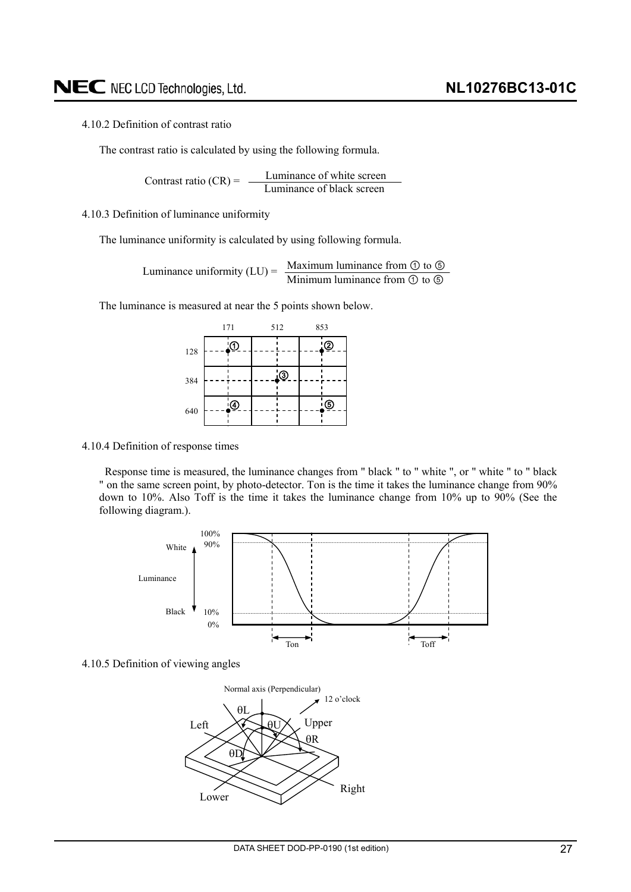#### <span id="page-26-0"></span>4.10.2 Definition of contrast ratio

The contrast ratio is calculated by using the following formula.

Luminance of white screen Contrast ratio  $(CR) = \frac{L}{L}$  Luminance of black screen

4.10.3 Definition of luminance uniformity

The luminance uniformity is calculated by using following formula.

Maximum luminance from  $\odot$  to  $\odot$ Luminance uniformity  $(LU) = \frac{Maxl (U)}{Mini m u}$  luminance from  $\odot$  to  $\odot$ 

The luminance is measured at near the 5 points shown below.

|     | 171 |           | 512 | 853 |           |  |
|-----|-----|-----------|-----|-----|-----------|--|
| 128 |     | <u>'O</u> |     |     | <u>'©</u> |  |
| 384 |     |           | ූ   |     |           |  |
| 640 |     | $\Theta$  |     |     | $\odot$   |  |

4.10.4 Definition of response times

Response time is measured, the luminance changes from " black " to " white ", or " white " to " black " on the same screen point, by photo-detector. Ton is the time it takes the luminance change from 90% down to 10%. Also Toff is the time it takes the luminance change from 10% up to 90% (See the following diagram.).



4.10.5 Definition of viewing angles

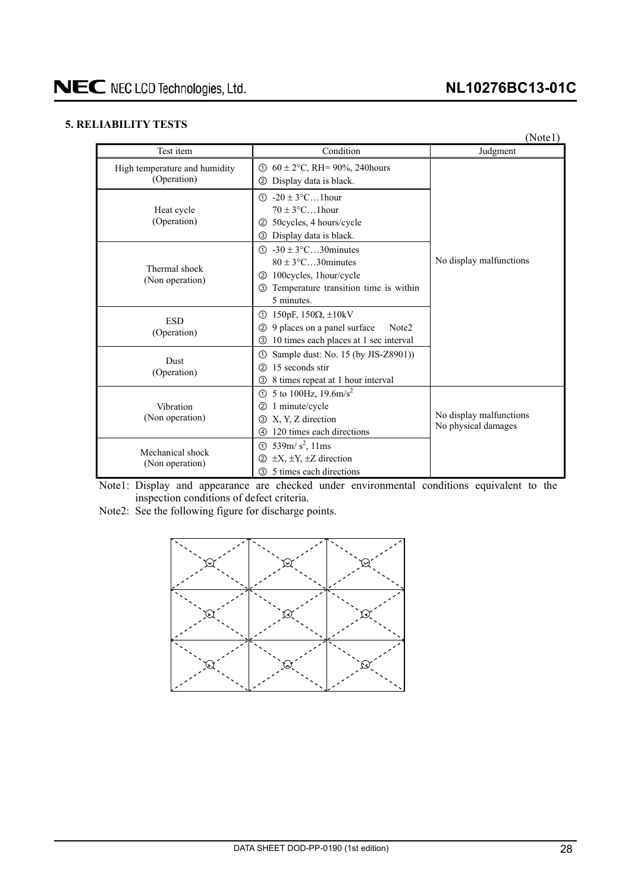#### <span id="page-27-0"></span>**5. RELIABILITY TESTS**

|                                              |                                                                                                                                                                                       | (Notel)                                        |
|----------------------------------------------|---------------------------------------------------------------------------------------------------------------------------------------------------------------------------------------|------------------------------------------------|
| Test item                                    | Condition                                                                                                                                                                             | Judgment                                       |
| High temperature and humidity<br>(Operation) | $60 \pm 2$ °C, RH= 90%, 240 hours<br>⋒<br>Display data is black.<br>(2)                                                                                                               |                                                |
| Heat cycle<br>(Operation)                    | $-20 \pm 3$ °C1 hour<br>(T)<br>$70 \pm 3$ °C1 hour<br>50cycles, 4 hours/cycle<br>$\circled{2}$<br>Display data is black.<br>③                                                         |                                                |
| Thermal shock<br>(Non operation)             | $\textcircled{1}$ -30 ± 3°C30 minutes<br>$80 \pm 3$ °C30 minutes<br>100 cycles, 1 hour/cycle<br>$\circled{2}$<br>Temperature transition time is within<br>$\circled{3}$<br>5 minutes. | No display malfunctions                        |
| <b>ESD</b><br>(Operation)                    | 150pF, $150\Omega$ , $\pm 10kV$<br>①<br>9 places on a panel surface<br>Note <sub>2</sub><br>(2)<br>10 times each places at 1 sec interval<br>③                                        |                                                |
| Dust<br>(Operation)                          | Sample dust: No. 15 (by JIS-Z8901))<br>$^{\circ}$<br>15 seconds stir<br>(2)<br>8 times repeat at 1 hour interval<br>3                                                                 |                                                |
| Vibration<br>(Non operation)                 | 5 to 100Hz, $19.6 \text{m/s}^2$<br>(T)<br>1 minute/cycle<br>$\circled{2}$<br>X, Y, Z direction<br>$\circled{3}$<br>120 times each directions<br>4                                     | No display malfunctions<br>No physical damages |
| Mechanical shock<br>(Non operation)          | 539m/s <sup>2</sup> , 11ms<br>$\odot$<br>$\pm X$ , $\pm Y$ , $\pm Z$ direction<br>(2)<br>5 times each directions<br>3                                                                 |                                                |

Note1: Display and appearance are checked under environmental conditions equivalent to the inspection conditions of defect criteria.

Note2: See the following figure for discharge points.

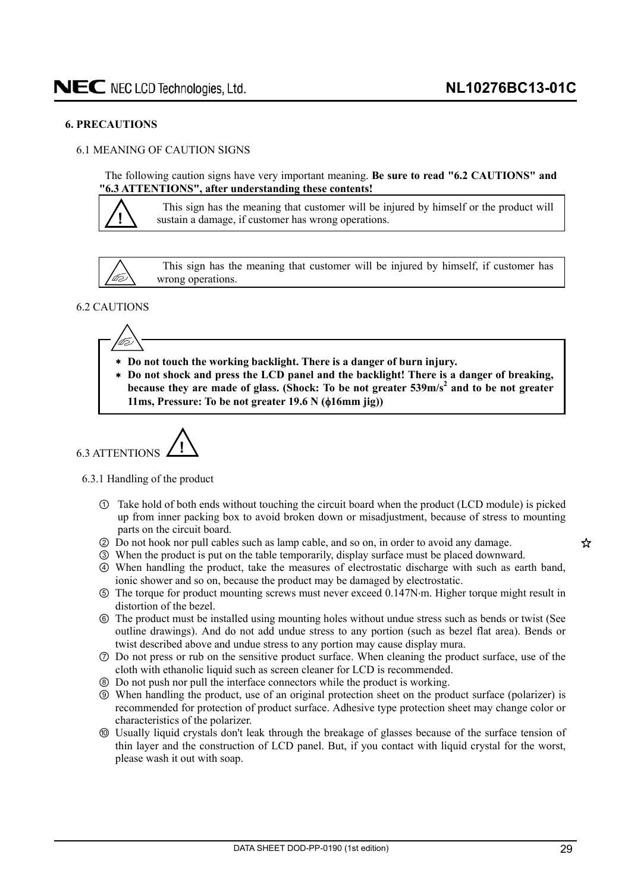#### <span id="page-28-0"></span>**6. PRECAUTIONS**

#### 6.1 MEANING OF CAUTION SIGNS

The following caution signs have very important meaning. **Be sure to read "6.2 CAUTIONS" and "6.3 ATTENTIONS", after understanding these contents!** 



This sign has the meaning that customer will be injured by himself or the product will sustain a damage, if customer has wrong operations.



This sign has the meaning that customer will be injured by himself, if customer has wrong operations.

#### 6.2 CAUTIONS



- **Do not touch the working backlight. There is a danger of burn injury.**
- **Do not shock and press the LCD panel and the backlight! There is a danger of breaking, because they are made of glass. (Shock: To be not greater 539m/s<sup>2</sup> and to be not greater 11ms, Pressure: To be not greater 19.6 N (** $\phi$ **16mm jig))**

$$
6.3 \text{ATTENTIONS}
$$

6.3.1 Handling of the product

- Take hold of both ends without touching the circuit board when the product (LCD module) is picked up from inner packing box to avoid broken down or misadjustment, because of stress to mounting parts on the circuit board.
- ཱ Do not hook nor pull cables such as lamp cable, and so on, in order to avoid any damage.
- ི When the product is put on the table temporarily, display surface must be placed downward.
- ཱི When handling the product, take the measures of electrostatic discharge with such as earth band, ionic shower and so on, because the product may be damaged by electrostatic.
- ུ The torque for product mounting screws must never exceed 0.147Nm. Higher torque might result in distortion of the bezel.
- ཱུ The product must be installed using mounting holes without undue stress such as bends or twist (See outline drawings). And do not add undue stress to any portion (such as bezel flat area). Bends or twist described above and undue stress to any portion may cause display mura.
- ྲྀ Do not press or rub on the sensitive product surface. When cleaning the product surface, use of the cloth with ethanolic liquid such as screen cleaner for LCD is recommended.
- ཷ Do not push nor pull the interface connectors while the product is working.
- ླྀ When handling the product, use of an original protection sheet on the product surface (polarizer) is recommended for protection of product surface. Adhesive type protection sheet may change color or characteristics of the polarizer.
- ཹ Usually liquid crystals don't leak through the breakage of glasses because of the surface tension of thin layer and the construction of LCD panel. But, if you contact with liquid crystal for the worst, please wash it out with soap.

☆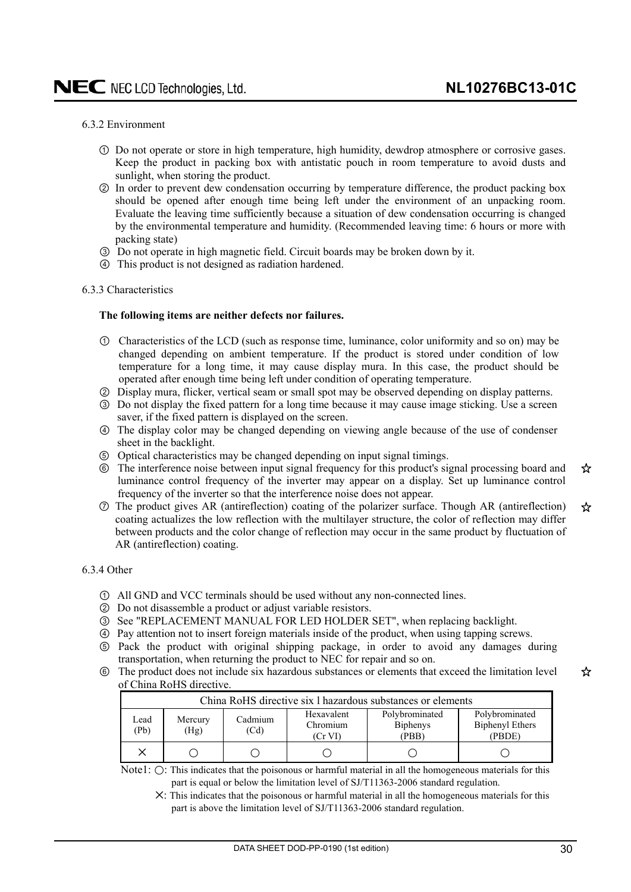#### <span id="page-29-0"></span>6.3.2 Environment

- Do not operate or store in high temperature, high humidity, dewdrop atmosphere or corrosive gases. Keep the product in packing box with antistatic pouch in room temperature to avoid dusts and sunlight, when storing the product.
- ཱ In order to prevent dew condensation occurring by temperature difference, the product packing box should be opened after enough time being left under the environment of an unpacking room. Evaluate the leaving time sufficiently because a situation of dew condensation occurring is changed by the environmental temperature and humidity. (Recommended leaving time: 6 hours or more with packing state)
- ི Do not operate in high magnetic field. Circuit boards may be broken down by it.
- ཱི This product is not designed as radiation hardened.

#### 6.3.3 Characteristics

#### **The following items are neither defects nor failures.**

- Characteristics of the LCD (such as response time, luminance, color uniformity and so on) may be changed depending on ambient temperature. If the product is stored under condition of low temperature for a long time, it may cause display mura. In this case, the product should be operated after enough time being left under condition of operating temperature.
- ཱ Display mura, flicker, vertical seam or small spot may be observed depending on display patterns.
- ི Do not display the fixed pattern for a long time because it may cause image sticking. Use a screen saver, if the fixed pattern is displayed on the screen.
- ཱི The display color may be changed depending on viewing angle because of the use of condenser sheet in the backlight.
- ུ Optical characteristics may be changed depending on input signal timings.
- ཱུ The interference noise between input signal frequency for this product's signal processing board and ☆ luminance control frequency of the inverter may appear on a display. Set up luminance control frequency of the inverter so that the interference noise does not appear.
- ྲྀ The product gives AR (antireflection) coating of the polarizer surface. Though AR (antireflection) ☆ coating actualizes the low reflection with the multilayer structure, the color of reflection may differ between products and the color change of reflection may occur in the same product by fluctuation of AR (antireflection) coating.

#### 6.3.4 Other

- All GND and VCC terminals should be used without any non-connected lines.
- ཱ Do not disassemble a product or adjust variable resistors.
- ི See "REPLACEMENT MANUAL FOR LED HOLDER SET", when replacing backlight.
- ཱི Pay attention not to insert foreign materials inside of the product, when using tapping screws.
- ུ Pack the product with original shipping package, in order to avoid any damages during transportation, when returning the product to NEC for repair and so on.
- ཱུ The product does not include six hazardous substances or elements that exceed the limitation level ☆ of China RoHS directive.

|              | China RoHS directive six 1 hazardous substances or elements |                 |                                   |                                            |                                             |  |  |  |  |  |  |  |
|--------------|-------------------------------------------------------------|-----------------|-----------------------------------|--------------------------------------------|---------------------------------------------|--|--|--|--|--|--|--|
| ∟ead<br>(Pb) | Mercury<br>(Hg)                                             | Cadmium<br>(Cd) | Hexavalent<br>Chromium<br>(Cr VI) | Polybrominated<br><b>Biphenys</b><br>(PBB) | Polybrominated<br>Biphenyl Ethers<br>(PBDE) |  |  |  |  |  |  |  |
|              |                                                             |                 |                                   |                                            |                                             |  |  |  |  |  |  |  |

Note1:  $\bigcirc$ : This indicates that the poisonous or harmful material in all the homogeneous materials for this part is equal or below the limitation level of SJ/T11363-2006 standard regulation.

ᅜ: This indicates that the poisonous or harmful material in all the homogeneous materials for this part is above the limitation level of SJ/T11363-2006 standard regulation.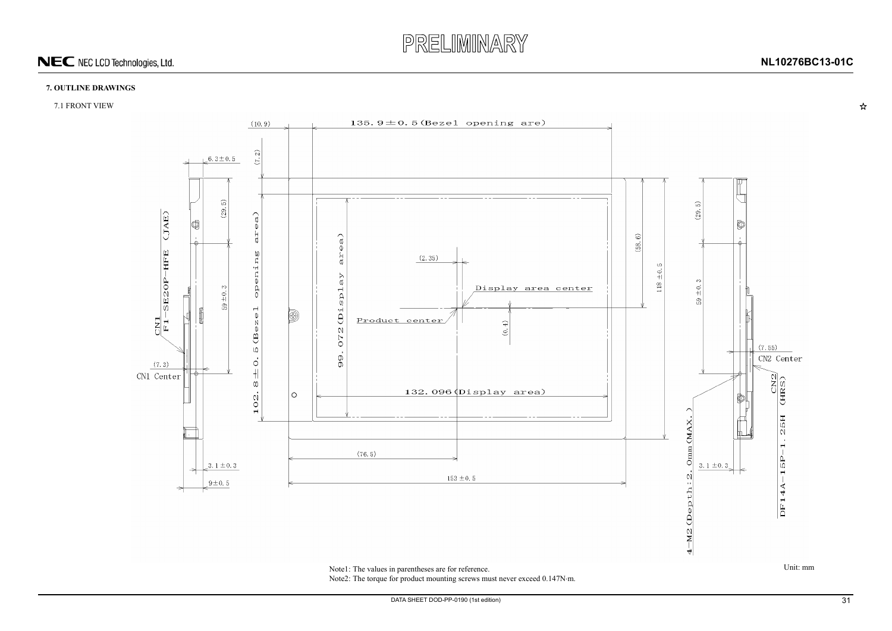

 $\boldsymbol{\mathsf{\hat{x}}}$ 



#### **7. OUTLINE DRAWINGS**

#### 7.1 FRONT VIEW



<span id="page-30-0"></span>Note1: The values in parentheses are for reference. Unit: mm Note2: The torque for product mounting screws must never exceed 0.147N·m.